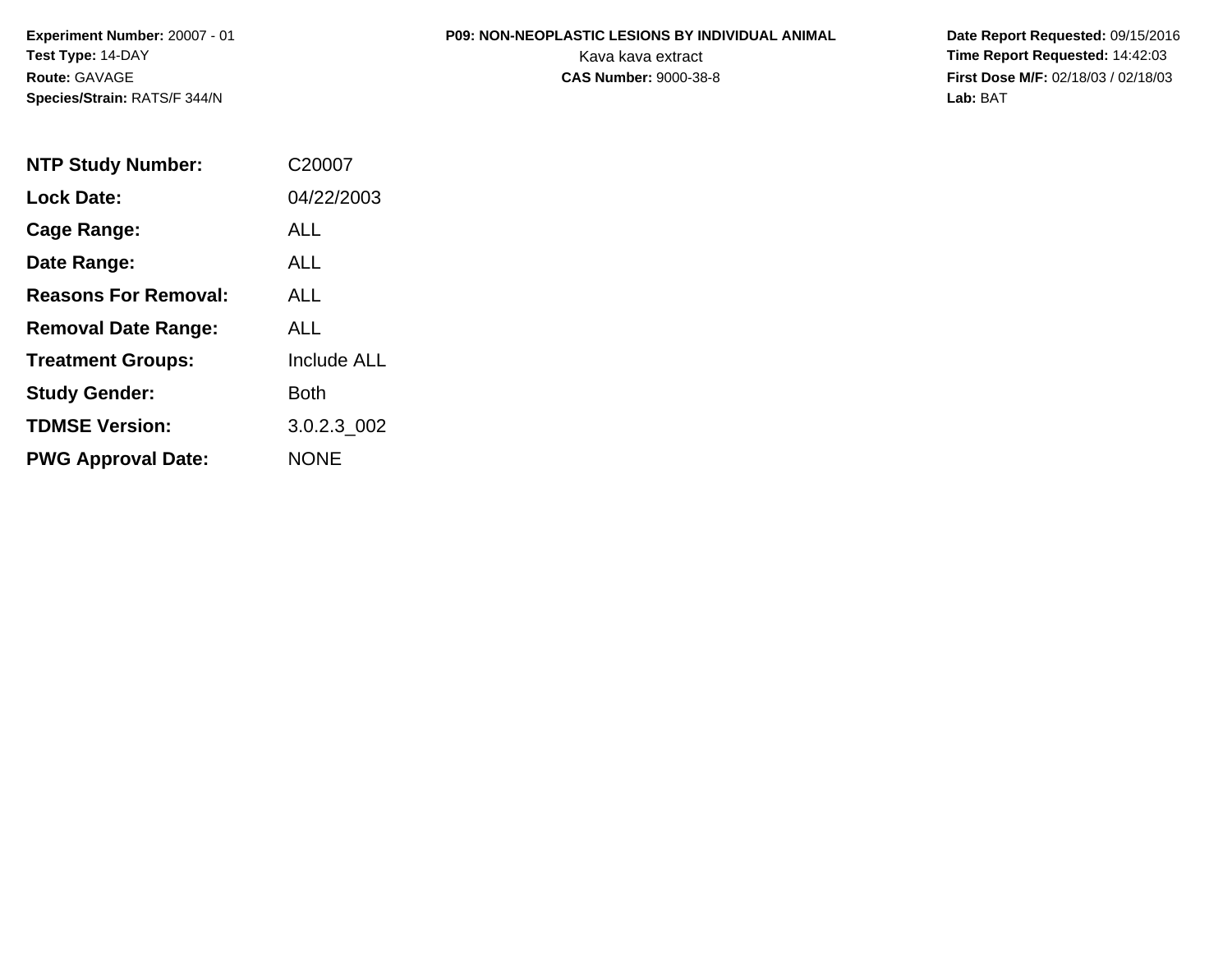### **P09: NON-NEOPLASTIC LESIONS BY INDIVIDUAL ANIMAL**

 **Date Report Requested:** 09/15/2016 Kava kava extract **Time Report Requested:** 14:42:03 **First Dose M/F:** 02/18/03 / 02/18/03<br>Lab: BAT **Lab:** BAT

| <b>NTP Study Number:</b>    | C20007             |
|-----------------------------|--------------------|
| <b>Lock Date:</b>           | 04/22/2003         |
| Cage Range:                 | <b>ALL</b>         |
| Date Range:                 | ALL                |
| <b>Reasons For Removal:</b> | ALL.               |
| <b>Removal Date Range:</b>  | AI I               |
| <b>Treatment Groups:</b>    | <b>Include ALL</b> |
| <b>Study Gender:</b>        | Both               |
| <b>TDMSE Version:</b>       | 3.0.2.3 002        |
| <b>PWG Approval Date:</b>   | <b>NONE</b>        |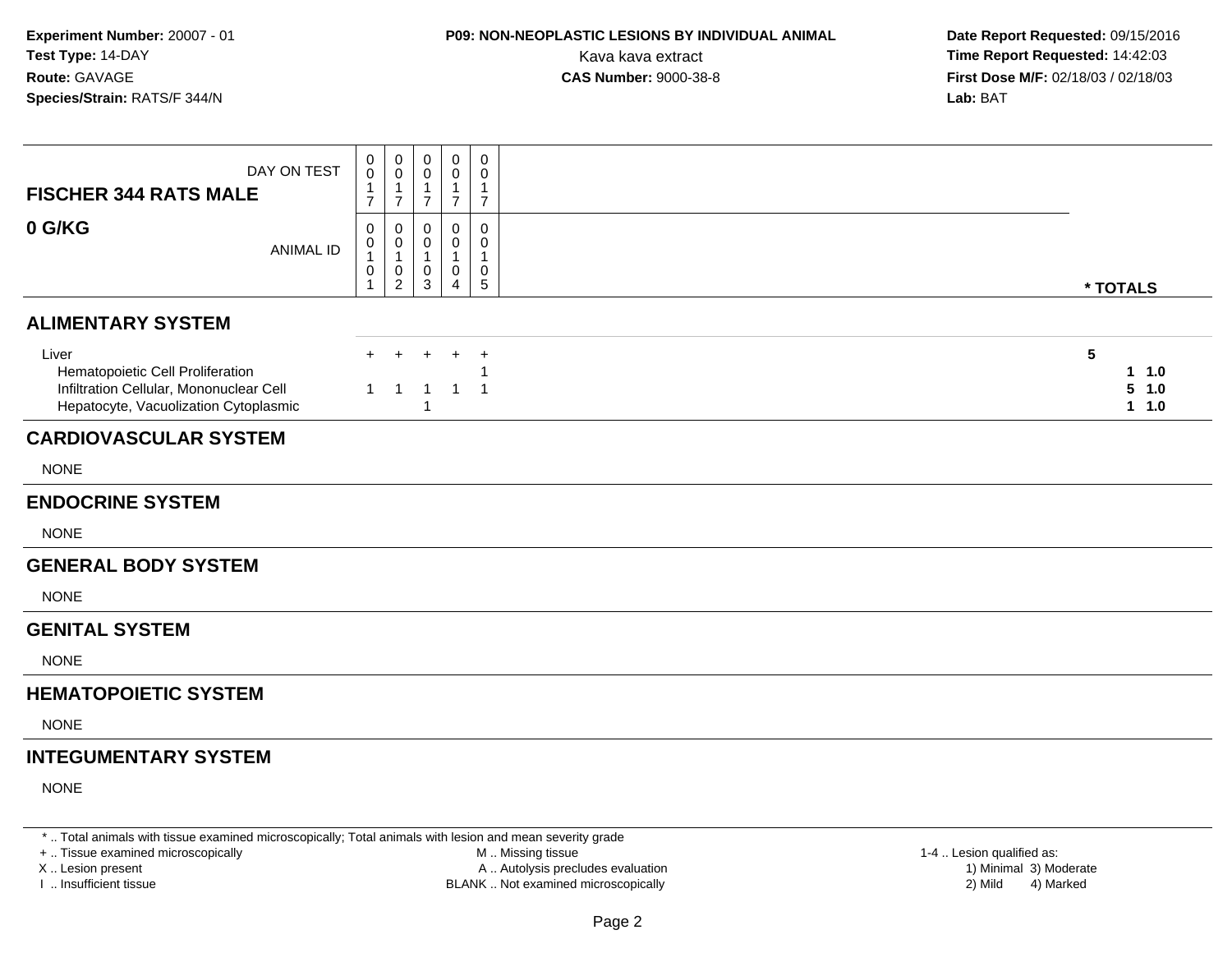### **P09: NON-NEOPLASTIC LESIONS BY INDIVIDUAL ANIMAL**

 **Date Report Requested:** 09/15/2016 Kava kava extract **Time Report Requested:** 14:42:03<br>**CAS Number:** 9000-38-8 **Time Report Requested:** 14:42:03 **First Dose M/F:** 02/18/03 / 02/18/03<br>**Lab:** BAT **Lab:** BAT

| DAY ON TEST<br><b>FISCHER 344 RATS MALE</b>                                                                                   | 0<br>0<br>$\mathbf{1}$<br>$\overline{7}$ | $\mathbf 0$<br>$\boldsymbol{0}$<br>$\overline{1}$<br>$\overline{7}$ | 0<br>0<br>1<br>$\overline{7}$    | $\mathbf 0$<br>0<br>$\mathbf{1}$<br>$\overline{7}$                | $\mathbf 0$<br>0<br>$\mathbf{1}$<br>$\overline{7}$ |                                                             |
|-------------------------------------------------------------------------------------------------------------------------------|------------------------------------------|---------------------------------------------------------------------|----------------------------------|-------------------------------------------------------------------|----------------------------------------------------|-------------------------------------------------------------|
| 0 G/KG<br><b>ANIMAL ID</b>                                                                                                    | 0<br>0<br>$\mathbf{1}$<br>0              | $\mathbf 0$<br>$\boldsymbol{0}$<br>$\overline{1}$<br>$\pmb{0}$<br>2 | $\mathbf{0}$<br>0<br>1<br>0<br>3 | $\mathbf 0$<br>0<br>$\mathbf{1}$<br>$\mathbf 0$<br>$\overline{4}$ | $\mathbf 0$<br>$\mathbf 0$<br>1<br>0<br>5          | * TOTALS                                                    |
| <b>ALIMENTARY SYSTEM</b>                                                                                                      |                                          |                                                                     |                                  |                                                                   |                                                    |                                                             |
| Liver<br>Hematopoietic Cell Proliferation<br>Infiltration Cellular, Mononuclear Cell<br>Hepatocyte, Vacuolization Cytoplasmic | 1                                        | -1                                                                  | -1<br>1                          | 1                                                                 | $\overline{1}$<br>-1                               | $5\phantom{.0}$<br>1 1.0<br>5<br>1.0<br>$\mathbf{1}$<br>1.0 |
| <b>CARDIOVASCULAR SYSTEM</b>                                                                                                  |                                          |                                                                     |                                  |                                                                   |                                                    |                                                             |
| <b>NONE</b>                                                                                                                   |                                          |                                                                     |                                  |                                                                   |                                                    |                                                             |
| <b>ENDOCRINE SYSTEM</b>                                                                                                       |                                          |                                                                     |                                  |                                                                   |                                                    |                                                             |
| <b>NONE</b>                                                                                                                   |                                          |                                                                     |                                  |                                                                   |                                                    |                                                             |
| <b>GENERAL BODY SYSTEM</b>                                                                                                    |                                          |                                                                     |                                  |                                                                   |                                                    |                                                             |
| <b>NONE</b>                                                                                                                   |                                          |                                                                     |                                  |                                                                   |                                                    |                                                             |
| <b>GENITAL SYSTEM</b>                                                                                                         |                                          |                                                                     |                                  |                                                                   |                                                    |                                                             |
| <b>NONE</b>                                                                                                                   |                                          |                                                                     |                                  |                                                                   |                                                    |                                                             |
| <b>HEMATOPOIETIC SYSTEM</b>                                                                                                   |                                          |                                                                     |                                  |                                                                   |                                                    |                                                             |
| <b>NONE</b>                                                                                                                   |                                          |                                                                     |                                  |                                                                   |                                                    |                                                             |
| <b>INTEGUMENTARY SYSTEM</b>                                                                                                   |                                          |                                                                     |                                  |                                                                   |                                                    |                                                             |
| <b>NONE</b>                                                                                                                   |                                          |                                                                     |                                  |                                                                   |                                                    |                                                             |

\* .. Total animals with tissue examined microscopically; Total animals with lesion and mean severity grade

+ .. Tissue examined microscopically

X .. Lesion present

I .. Insufficient tissue

 M .. Missing tissueA .. Autolysis precludes evaluation

BLANK .. Not examined microscopically 2) Mild 4) Marked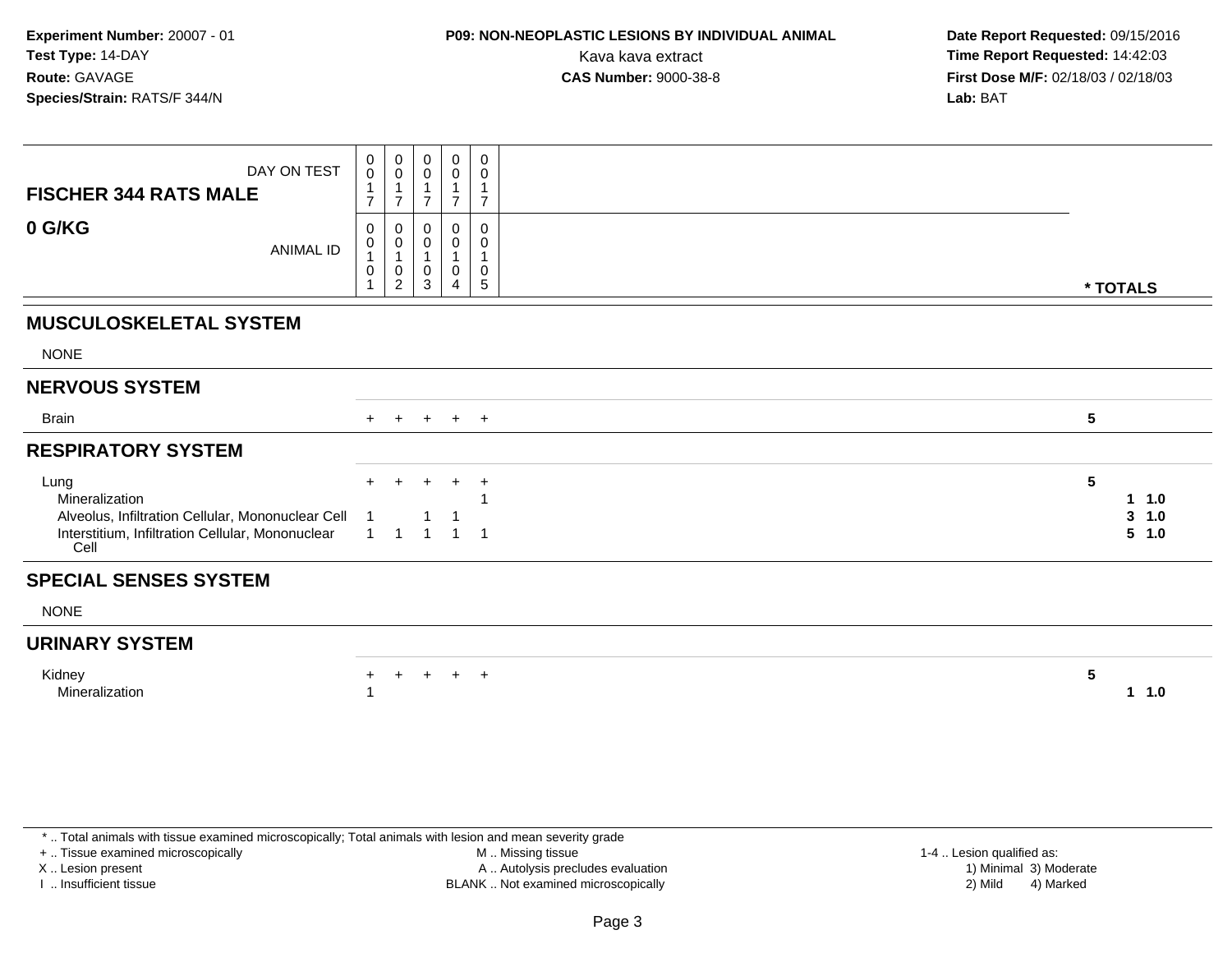### **P09: NON-NEOPLASTIC LESIONS BY INDIVIDUAL ANIMAL**

 **Date Report Requested:** 09/15/2016 Kava kava extract **Time Report Requested:** 14:42:03<br>**CAS Number:** 9000-38-8 **Time Report Requested:** 14:42:03 **First Dose M/F:** 02/18/03 / 02/18/03<br>**Lab:** BAT **Lab:** BAT

| DAY ON TEST<br><b>FISCHER 344 RATS MALE</b><br>0 G/KG<br><b>ANIMAL ID</b>                                                               | 0<br>$\mathbf 0$<br>$\overline{7}$<br>0<br>0<br>1<br>0 | $\overline{0}$<br>$\mathbf 0$<br>$\mathbf{1}$<br>$\overline{7}$<br>$\mathbf 0$<br>$\begin{smallmatrix}0\\1\end{smallmatrix}$<br>$\mathbf 0$<br>$\sqrt{2}$ | 0<br>0<br>$\overline{7}$<br>0<br>0<br>1<br>0<br>3 | 0<br>0<br>$\overline{7}$<br>$\Omega$<br>0<br>$\mathbf{1}$<br>$\mathbf 0$<br>4 | 0<br>0<br>1<br>$\overline{7}$<br>0<br>0<br>1<br>0<br>$\sqrt{5}$ |                 | * TOTALS                                           |
|-----------------------------------------------------------------------------------------------------------------------------------------|--------------------------------------------------------|-----------------------------------------------------------------------------------------------------------------------------------------------------------|---------------------------------------------------|-------------------------------------------------------------------------------|-----------------------------------------------------------------|-----------------|----------------------------------------------------|
| <b>MUSCULOSKELETAL SYSTEM</b>                                                                                                           |                                                        |                                                                                                                                                           |                                                   |                                                                               |                                                                 |                 |                                                    |
| <b>NONE</b>                                                                                                                             |                                                        |                                                                                                                                                           |                                                   |                                                                               |                                                                 |                 |                                                    |
| <b>NERVOUS SYSTEM</b>                                                                                                                   |                                                        |                                                                                                                                                           |                                                   |                                                                               |                                                                 |                 |                                                    |
| <b>Brain</b>                                                                                                                            |                                                        |                                                                                                                                                           |                                                   | + + + + +                                                                     |                                                                 | $5\phantom{.0}$ |                                                    |
| <b>RESPIRATORY SYSTEM</b>                                                                                                               |                                                        |                                                                                                                                                           |                                                   |                                                                               |                                                                 |                 |                                                    |
| Lung<br>Mineralization<br>Alveolus, Infiltration Cellular, Mononuclear Cell<br>Interstitium, Infiltration Cellular, Mononuclear<br>Cell | $+$<br>$\overline{1}$                                  | $\pm$<br>$\overline{1}$                                                                                                                                   | $\ddot{}$<br>$\overline{1}$                       | $\ddot{}$<br>$\overline{1}$                                                   | $\overline{+}$<br>$\overline{1}$                                | $5\phantom{.0}$ | 1.0<br>$\mathbf 1$<br>$\mathbf{3}$<br>1.0<br>5 1.0 |
| <b>SPECIAL SENSES SYSTEM</b>                                                                                                            |                                                        |                                                                                                                                                           |                                                   |                                                                               |                                                                 |                 |                                                    |
| <b>NONE</b>                                                                                                                             |                                                        |                                                                                                                                                           |                                                   |                                                                               |                                                                 |                 |                                                    |
| <b>URINARY SYSTEM</b>                                                                                                                   |                                                        |                                                                                                                                                           |                                                   |                                                                               |                                                                 |                 |                                                    |
| Kidney<br>Mineralization                                                                                                                | $+$                                                    | $+$                                                                                                                                                       | $+$                                               | $+$ $+$                                                                       |                                                                 | 5               | $1 \t1.0$                                          |

\* .. Total animals with tissue examined microscopically; Total animals with lesion and mean severity grade

+ .. Tissue examined microscopically

X .. Lesion present

I .. Insufficient tissue

 M .. Missing tissueA .. Autolysis precludes evaluation

BLANK .. Not examined microscopically 2) Mild 4) Marked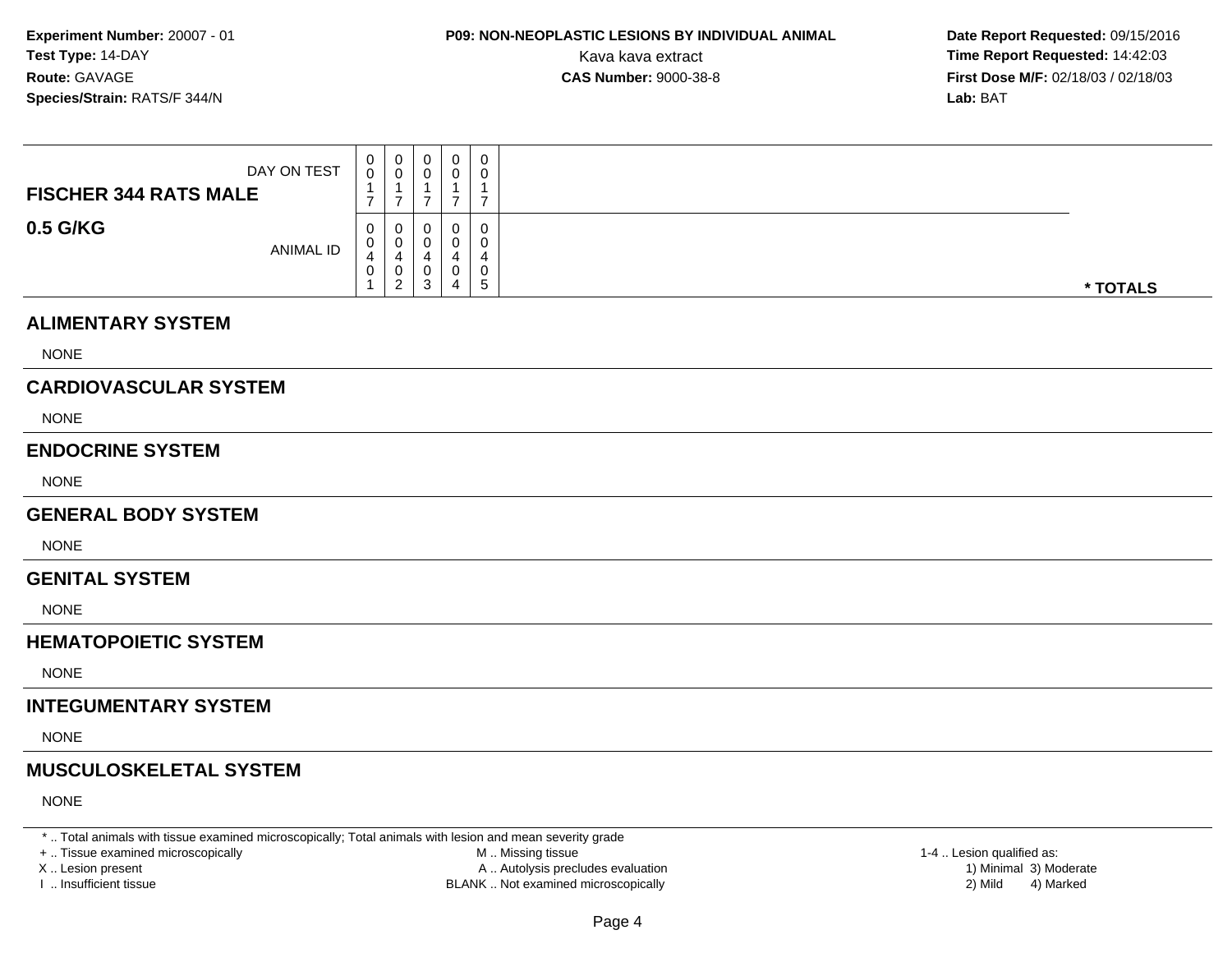# **P09: NON-NEOPLASTIC LESIONS BY INDIVIDUAL ANIMAL**

 **Date Report Requested:** 09/15/2016 Kava kava extract **Time Report Requested:** 14:42:03<br>**CAS Number:** 9000-38-8 **Time Report Requested:** 14:42:03 **First Dose M/F:** 02/18/03 / 02/18/03<br>**Lab:** BAT **Lab:** BAT

| DAY ON TEST<br><b>FISCHER 344 RATS MALE</b> | 0<br>0<br>$\overline{7}$ | 0<br>0<br>$\overline{7}$                                            | 0<br>$\mathbf 0$<br>$\overline{7}$                              | 0<br>0<br>$\overline{7}$ | $\mathbf 0$<br>0<br>$\mathbf{1}$<br>$\overline{7}$         |          |
|---------------------------------------------|--------------------------|---------------------------------------------------------------------|-----------------------------------------------------------------|--------------------------|------------------------------------------------------------|----------|
| 0.5 G/KG<br><b>ANIMAL ID</b>                | 0<br>0<br>4<br>0         | 0<br>$\mathbf 0$<br>$\overline{4}$<br>$\mathbf 0$<br>$\overline{2}$ | 0<br>$\mathbf 0$<br>$\overline{4}$<br>$\pmb{0}$<br>$\mathbf{3}$ | 0<br>0<br>4<br>0<br>4    | $\pmb{0}$<br>$\mathbf 0$<br>4<br>$\mathbf 0$<br>$\sqrt{5}$ | * TOTALS |
| <b>ALIMENTARY SYSTEM</b>                    |                          |                                                                     |                                                                 |                          |                                                            |          |
| <b>NONE</b>                                 |                          |                                                                     |                                                                 |                          |                                                            |          |
| <b>CARDIOVASCULAR SYSTEM</b>                |                          |                                                                     |                                                                 |                          |                                                            |          |
| <b>NONE</b>                                 |                          |                                                                     |                                                                 |                          |                                                            |          |
| <b>ENDOCRINE SYSTEM</b>                     |                          |                                                                     |                                                                 |                          |                                                            |          |
| <b>NONE</b>                                 |                          |                                                                     |                                                                 |                          |                                                            |          |
| <b>GENERAL BODY SYSTEM</b>                  |                          |                                                                     |                                                                 |                          |                                                            |          |
| <b>NONE</b>                                 |                          |                                                                     |                                                                 |                          |                                                            |          |
| <b>GENITAL SYSTEM</b>                       |                          |                                                                     |                                                                 |                          |                                                            |          |
| <b>NONE</b>                                 |                          |                                                                     |                                                                 |                          |                                                            |          |
| <b>HEMATOPOIETIC SYSTEM</b>                 |                          |                                                                     |                                                                 |                          |                                                            |          |
| <b>NONE</b>                                 |                          |                                                                     |                                                                 |                          |                                                            |          |
| <b>INTEGUMENTARY SYSTEM</b>                 |                          |                                                                     |                                                                 |                          |                                                            |          |

NONE

#### **MUSCULOSKELETAL SYSTEM**

NONE

\* .. Total animals with tissue examined microscopically; Total animals with lesion and mean severity grade

+ .. Tissue examined microscopically

X .. Lesion present

I .. Insufficient tissue

 M .. Missing tissueA .. Autolysis precludes evaluation

BLANK .. Not examined microscopically 2) Mild 4) Marked

1-4 .. Lesion qualified as:<br>1) Minimal 3) Moderate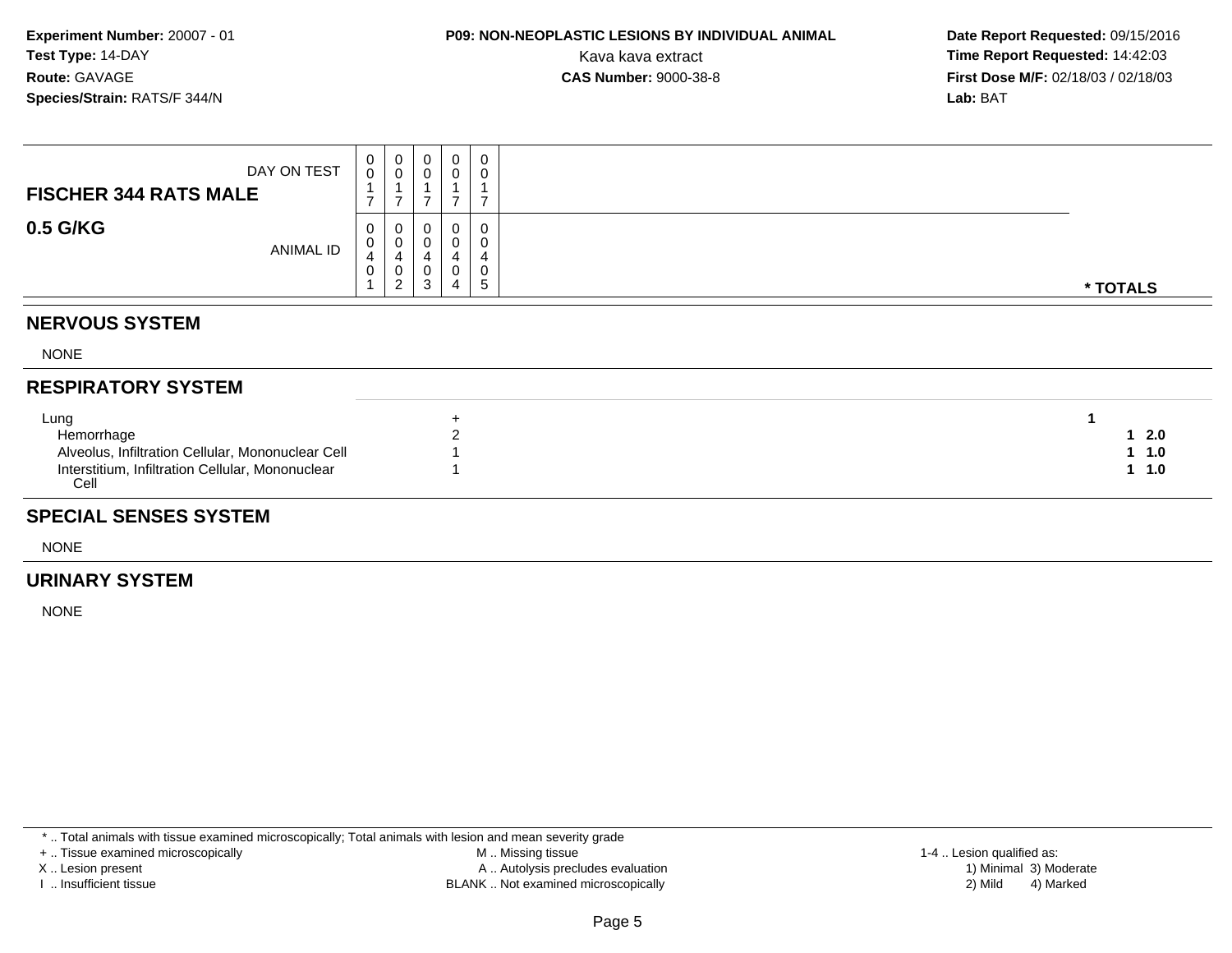### **P09: NON-NEOPLASTIC LESIONS BY INDIVIDUAL ANIMAL**

 **Date Report Requested:** 09/15/2016 Kava kava extract **Time Report Requested:** 14:42:03<br>**CAS Number:** 9000-38-8 **Time Report Requested:** 14:42:03 **First Dose M/F:** 02/18/03 / 02/18/03<br>**Lab:** BAT **Lab:** BAT

| DAY ON TEST<br><b>FISCHER 344 RATS MALE</b> |                  | v                | υ           | 0           | 0            |          |
|---------------------------------------------|------------------|------------------|-------------|-------------|--------------|----------|
| 0.5 G/KG                                    | <b>ANIMAL ID</b> | U<br>υ<br>4<br>U | u<br>u<br>w | 0<br>4<br>4 | υ<br>v<br>b. | * TOTALS |

#### **NERVOUS SYSTEM**

NONE

#### **RESPIRATORY SYSTEM**

| Lung                                                     |           |
|----------------------------------------------------------|-----------|
| Hemorrhage                                               | 2.0       |
| Alveolus, Infiltration Cellular, Mononuclear Cell        | $1 \t1.0$ |
| Interstitium, Infiltration Cellular, Mononuclear<br>Cell | $-1.0$    |

#### **SPECIAL SENSES SYSTEM**

NONE

#### **URINARY SYSTEM**

NONE

\* .. Total animals with tissue examined microscopically; Total animals with lesion and mean severity grade

+ .. Tissue examined microscopically

X .. Lesion present

I .. Insufficient tissue

 M .. Missing tissueA .. Autolysis precludes evaluation

BLANK .. Not examined microscopically 2) Mild 4) Marked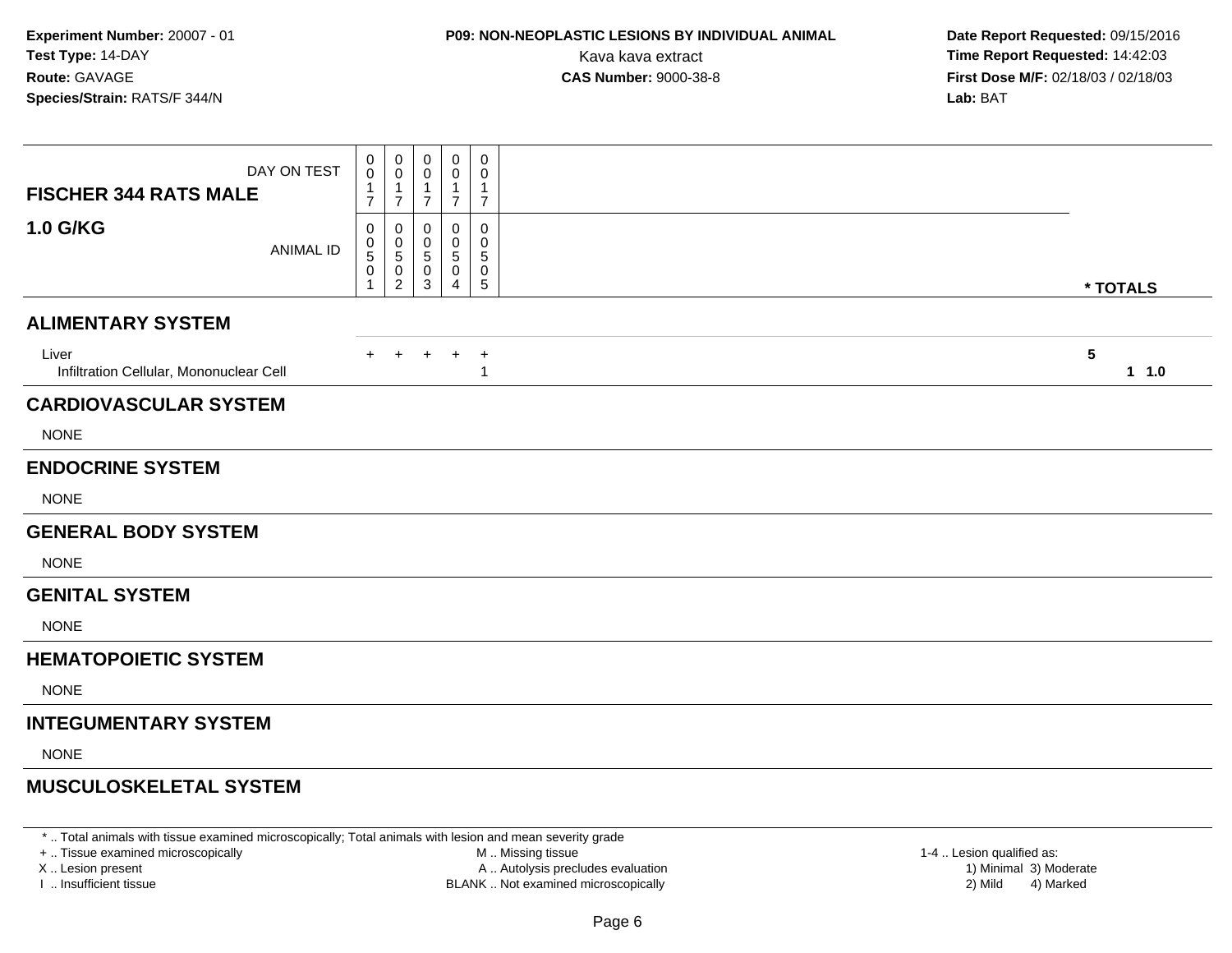# **P09: NON-NEOPLASTIC LESIONS BY INDIVIDUAL ANIMAL**

 **Date Report Requested:** 09/15/2016 Kava kava extract **Time Report Requested:** 14:42:03<br>**CAS Number:** 9000-38-8 **Time Report Requested:** 14:42:03 **First Dose M/F:** 02/18/03 / 02/18/03<br>**Lab:** BAT **Lab:** BAT

| DAY ON TEST<br><b>FISCHER 344 RATS MALE</b>      | $\mathbf 0$<br>0<br>$\mathbf{1}$<br>$\overline{7}$   | 0<br>0<br>1<br>$\overline{7}$           | $\boldsymbol{0}$<br>0<br>$\mathbf 1$<br>$\overline{7}$ | 0<br>0<br>1<br>$\overline{7}$ | $\mathbf 0$<br>0<br>1<br>$\overline{7}$ |                                  |
|--------------------------------------------------|------------------------------------------------------|-----------------------------------------|--------------------------------------------------------|-------------------------------|-----------------------------------------|----------------------------------|
| <b>1.0 G/KG</b><br><b>ANIMAL ID</b>              | 0<br>0<br>$\,$ 5 $\,$<br>$\pmb{0}$<br>$\overline{1}$ | 0<br>0<br>$\,$ 5 $\,$<br>$\pmb{0}$<br>2 | 0<br>0<br>$\overline{5}$<br>$\mathbf 0$<br>3           | 0<br>0<br>5<br>0<br>4         | 0<br>$\mathbf 0$<br>5<br>0<br>5         | * TOTALS                         |
| <b>ALIMENTARY SYSTEM</b>                         |                                                      |                                         |                                                        |                               |                                         |                                  |
| Liver<br>Infiltration Cellular, Mononuclear Cell | $+$                                                  | $\pm$                                   | $\pm$                                                  | $\ddot{}$                     | $\overline{+}$<br>-1                    | $\overline{\mathbf{5}}$<br>1 1.0 |
| <b>CARDIOVASCULAR SYSTEM</b>                     |                                                      |                                         |                                                        |                               |                                         |                                  |
| <b>NONE</b>                                      |                                                      |                                         |                                                        |                               |                                         |                                  |
| <b>ENDOCRINE SYSTEM</b>                          |                                                      |                                         |                                                        |                               |                                         |                                  |
| <b>NONE</b>                                      |                                                      |                                         |                                                        |                               |                                         |                                  |
| <b>GENERAL BODY SYSTEM</b>                       |                                                      |                                         |                                                        |                               |                                         |                                  |
| <b>NONE</b>                                      |                                                      |                                         |                                                        |                               |                                         |                                  |
| <b>GENITAL SYSTEM</b>                            |                                                      |                                         |                                                        |                               |                                         |                                  |
| <b>NONE</b>                                      |                                                      |                                         |                                                        |                               |                                         |                                  |
| <b>HEMATOPOIETIC SYSTEM</b>                      |                                                      |                                         |                                                        |                               |                                         |                                  |
| <b>NONE</b>                                      |                                                      |                                         |                                                        |                               |                                         |                                  |
| <b>INTEGUMENTARY SYSTEM</b>                      |                                                      |                                         |                                                        |                               |                                         |                                  |
| <b>NONE</b>                                      |                                                      |                                         |                                                        |                               |                                         |                                  |
| <b>MUSCULOSKELETAL SYSTEM</b>                    |                                                      |                                         |                                                        |                               |                                         |                                  |
|                                                  |                                                      |                                         |                                                        |                               |                                         |                                  |

\* .. Total animals with tissue examined microscopically; Total animals with lesion and mean severity grade

+ .. Tissue examined microscopically

X .. Lesion present

I .. Insufficient tissue

 M .. Missing tissueA .. Autolysis precludes evaluation

BLANK .. Not examined microscopically 2) Mild 4) Marked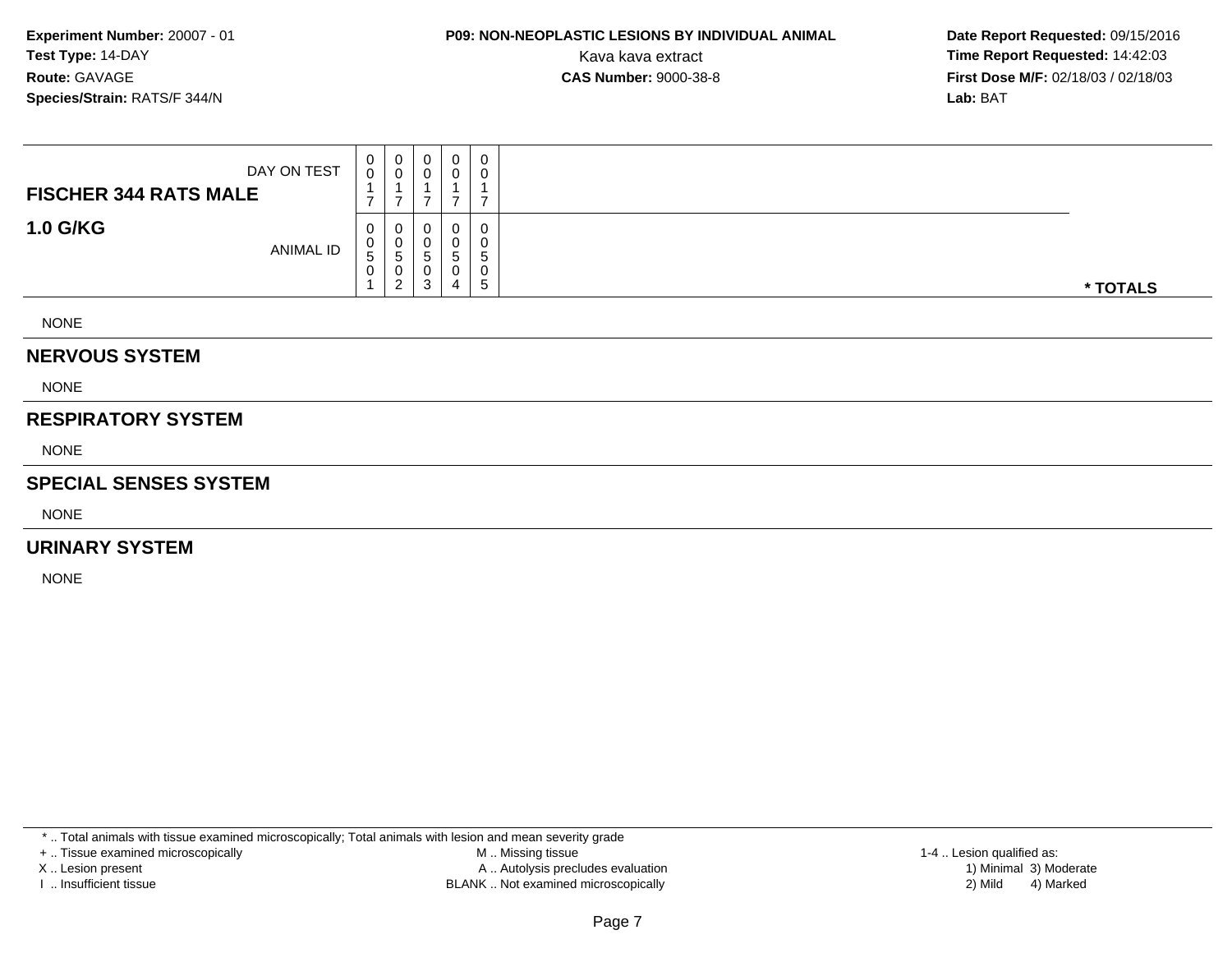# **P09: NON-NEOPLASTIC LESIONS BY INDIVIDUAL ANIMAL**

 **Date Report Requested:** 09/15/2016 Kava kava extract **Time Report Requested:** 14:42:03<br>**CAS Number:** 9000-38-8 **Time Report Requested:** 14:42:03 **First Dose M/F:** 02/18/03 / 02/18/03<br>**Lab:** BAT **Lab:** BAT

| DAY ON TEST<br><b>FISCHER 344 RATS MALE</b> | 0<br>0           | 0<br>v<br>-                         | 0<br>0                | $\mathbf 0$            | 0<br>-      |          |
|---------------------------------------------|------------------|-------------------------------------|-----------------------|------------------------|-------------|----------|
| <b>1.0 G/KG</b><br><b>ANIMAL ID</b>         | 0<br>0<br>5<br>0 | 0<br>U<br>. 5<br>U<br>າ<br><u>_</u> | 0<br>0<br>5<br>0<br>3 | 0<br><sub>5</sub><br>4 | 0<br>5<br>5 | * TOTALS |
| <b>NIONIE</b>                               |                  |                                     |                       |                        |             |          |

NONE

#### **NERVOUS SYSTEM**

NONE

#### **RESPIRATORY SYSTEM**

NONE

#### **SPECIAL SENSES SYSTEM**

NONE

#### **URINARY SYSTEM**

NONE

\* .. Total animals with tissue examined microscopically; Total animals with lesion and mean severity grade

+ .. Tissue examined microscopically

X .. Lesion present

I .. Insufficient tissue

 M .. Missing tissueA .. Autolysis precludes evaluation

BLANK .. Not examined microscopically 2) Mild 4) Marked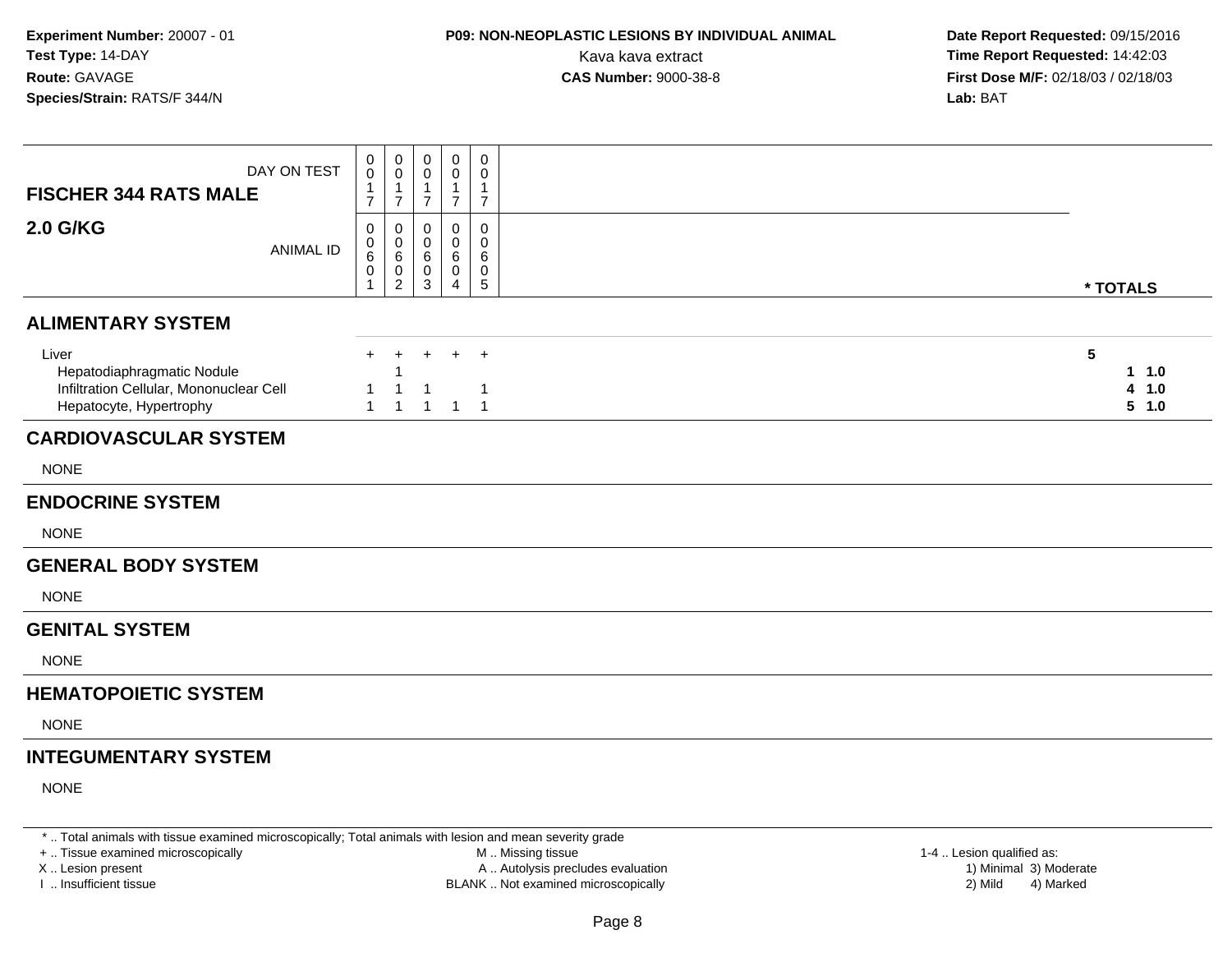### **P09: NON-NEOPLASTIC LESIONS BY INDIVIDUAL ANIMAL**

 **Date Report Requested:** 09/15/2016 Kava kava extract **Time Report Requested:** 14:42:03<br>**CAS Number:** 9000-38-8 **Time Report Requested:** 14:42:03 **First Dose M/F:** 02/18/03 / 02/18/03<br>**Lab:** BAT **Lab:** BAT

| DAY ON TEST<br><b>FISCHER 344 RATS MALE</b>                                                               | 0<br>0<br>$\overline{7}$ | $\mathbf 0$<br>$\pmb{0}$<br>$\mathbf{1}$<br>$\overline{7}$   | $\mathbf 0$<br>0<br>1<br>$\overline{7}$ | 0<br>0<br>$\mathbf{1}$<br>$\overline{7}$ | $\mathbf 0$<br>0<br>$\mathbf{1}$<br>$\overline{7}$ |                                 |
|-----------------------------------------------------------------------------------------------------------|--------------------------|--------------------------------------------------------------|-----------------------------------------|------------------------------------------|----------------------------------------------------|---------------------------------|
| <b>2.0 G/KG</b><br><b>ANIMAL ID</b>                                                                       | 0<br>0<br>6<br>0         | $\mathbf 0$<br>$_{6}^{\rm 0}$<br>$\pmb{0}$<br>$\overline{2}$ | $\Omega$<br>0<br>6<br>0<br>3            | $\mathbf 0$<br>0<br>6<br>0<br>4          | $\pmb{0}$<br>0<br>6<br>$\pmb{0}$<br>$\sqrt{5}$     | * TOTALS                        |
| <b>ALIMENTARY SYSTEM</b>                                                                                  |                          |                                                              |                                         |                                          |                                                    |                                 |
| Liver<br>Hepatodiaphragmatic Nodule<br>Infiltration Cellular, Mononuclear Cell<br>Hepatocyte, Hypertrophy | $\pm$<br>$\mathbf{1}$    | $\ddot{}$<br>$\mathbf{1}$                                    | $+$<br>-1<br>$\mathbf{1}$               | $+$<br>$\mathbf{1}$                      | $+$<br>-1<br>$\overline{1}$                        | 5<br>11.0<br>1.0<br>4<br>5, 1.0 |
| <b>CARDIOVASCULAR SYSTEM</b>                                                                              |                          |                                                              |                                         |                                          |                                                    |                                 |
| <b>NONE</b>                                                                                               |                          |                                                              |                                         |                                          |                                                    |                                 |
| <b>ENDOCRINE SYSTEM</b>                                                                                   |                          |                                                              |                                         |                                          |                                                    |                                 |
| <b>NONE</b>                                                                                               |                          |                                                              |                                         |                                          |                                                    |                                 |
| <b>GENERAL BODY SYSTEM</b>                                                                                |                          |                                                              |                                         |                                          |                                                    |                                 |
| <b>NONE</b>                                                                                               |                          |                                                              |                                         |                                          |                                                    |                                 |
| <b>GENITAL SYSTEM</b>                                                                                     |                          |                                                              |                                         |                                          |                                                    |                                 |
| <b>NONE</b>                                                                                               |                          |                                                              |                                         |                                          |                                                    |                                 |
| <b>HEMATOPOIETIC SYSTEM</b>                                                                               |                          |                                                              |                                         |                                          |                                                    |                                 |
| <b>NONE</b>                                                                                               |                          |                                                              |                                         |                                          |                                                    |                                 |
| <b>INTEGUMENTARY SYSTEM</b>                                                                               |                          |                                                              |                                         |                                          |                                                    |                                 |
| <b>NONE</b>                                                                                               |                          |                                                              |                                         |                                          |                                                    |                                 |

\* .. Total animals with tissue examined microscopically; Total animals with lesion and mean severity grade

+ .. Tissue examined microscopically

X .. Lesion present

I .. Insufficient tissue

M .. Missing tissue

 Lesion present A .. Autolysis precludes evaluation 1) Minimal 3) ModerateBLANK .. Not examined microscopically 2) Mild 4) Marked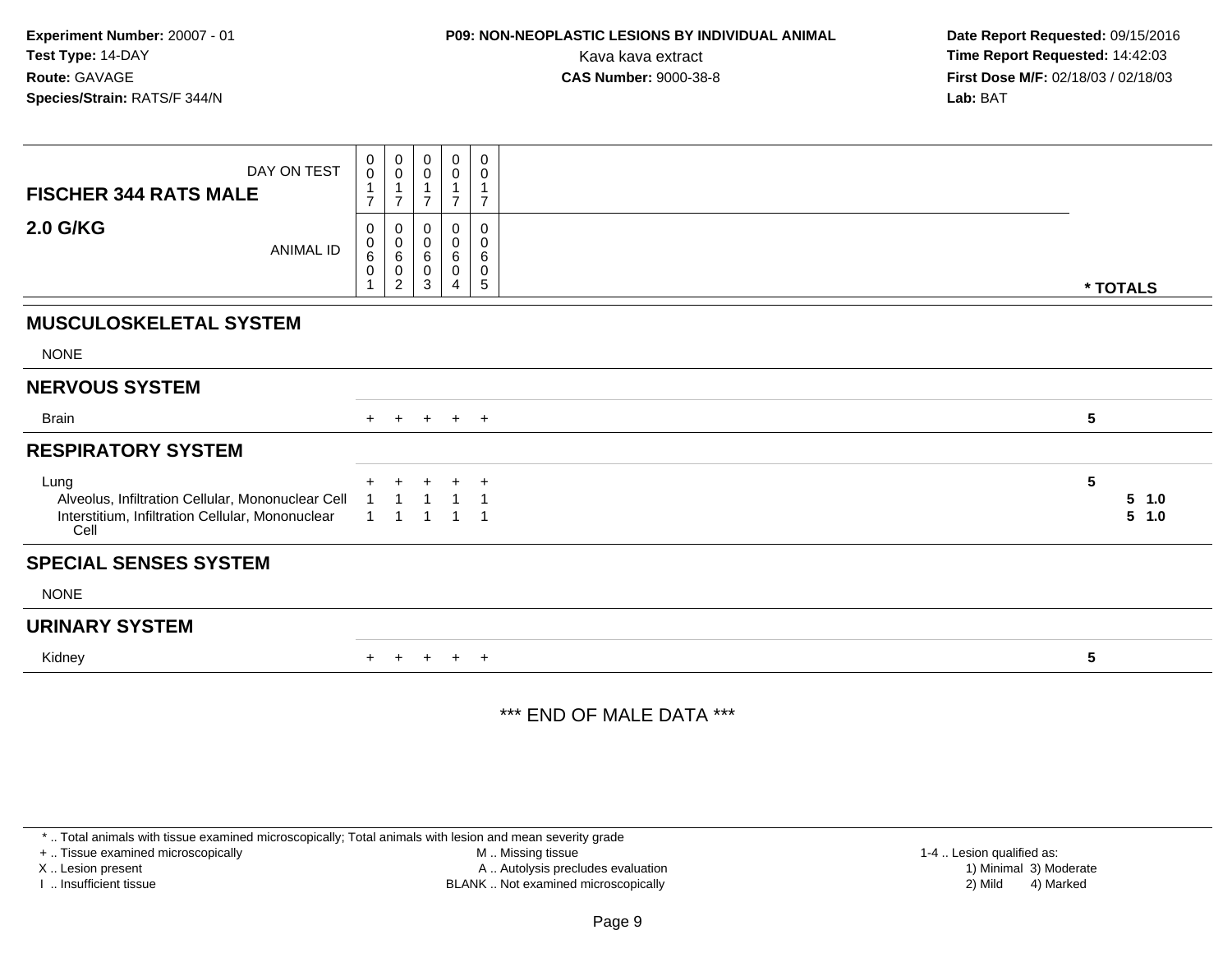## **P09: NON-NEOPLASTIC LESIONS BY INDIVIDUAL ANIMAL**

 **Date Report Requested:** 09/15/2016 Kava kava extract **Time Report Requested:** 14:42:03<br>**CAS Number:** 9000-38-8 **Time Report Requested:** 14:42:03 **First Dose M/F:** 02/18/03 / 02/18/03<br>**Lab:** BAT **Lab:** BAT

| DAY ON TEST<br><b>FISCHER 344 RATS MALE</b>                                                                           | 0<br>$\mathsf{O}\xspace$<br>$\overline{ }$<br>$\overline{ }$ | $\boldsymbol{0}$<br>$\mathbf 0$                                           | 0<br>$\mathbf 0$      | 0<br>0<br>⇁                   | 0<br>0<br>1<br>$\overline{7}$             |                                     |
|-----------------------------------------------------------------------------------------------------------------------|--------------------------------------------------------------|---------------------------------------------------------------------------|-----------------------|-------------------------------|-------------------------------------------|-------------------------------------|
| <b>2.0 G/KG</b><br>ANIMAL ID                                                                                          | 0<br>0<br>6<br>0                                             | 0<br>$\begin{array}{c} 0 \\ 6 \end{array}$<br>$\pmb{0}$<br>$\overline{2}$ | 0<br>0<br>6<br>0<br>3 | 0<br>$\pmb{0}$<br>6<br>0<br>4 | 0<br>$\pmb{0}$<br>$\,6$<br>$\pmb{0}$<br>5 | * TOTALS                            |
| <b>MUSCULOSKELETAL SYSTEM</b>                                                                                         |                                                              |                                                                           |                       |                               |                                           |                                     |
| <b>NONE</b>                                                                                                           |                                                              |                                                                           |                       |                               |                                           |                                     |
| <b>NERVOUS SYSTEM</b>                                                                                                 |                                                              |                                                                           |                       |                               |                                           |                                     |
| <b>Brain</b>                                                                                                          | $+$                                                          | $+$                                                                       | $+$                   | $+$ $+$                       |                                           | $5\phantom{.0}$                     |
| <b>RESPIRATORY SYSTEM</b>                                                                                             |                                                              |                                                                           |                       |                               |                                           |                                     |
| Lung<br>Alveolus, Infiltration Cellular, Mononuclear Cell<br>Interstitium, Infiltration Cellular, Mononuclear<br>Cell |                                                              | ÷                                                                         |                       | $\ddot{}$<br>$\overline{1}$   | $\ddot{}$<br>1                            | $5\phantom{.0}$<br>$5$ 1.0<br>5 1.0 |
| <b>SPECIAL SENSES SYSTEM</b>                                                                                          |                                                              |                                                                           |                       |                               |                                           |                                     |
| <b>NONE</b>                                                                                                           |                                                              |                                                                           |                       |                               |                                           |                                     |
| <b>URINARY SYSTEM</b>                                                                                                 |                                                              |                                                                           |                       |                               |                                           |                                     |
| Kidney                                                                                                                |                                                              |                                                                           | $+$                   | $+$                           | $+$                                       | 5                                   |

#### \*\*\* END OF MALE DATA \*\*\*

\* .. Total animals with tissue examined microscopically; Total animals with lesion and mean severity grade

+ .. Tissue examined microscopically

X .. Lesion present

I .. Insufficient tissue

 M .. Missing tissueA .. Autolysis precludes evaluation

1-4 .. Lesion qualified as:<br>1) Minimal 3) Moderate BLANK .. Not examined microscopically 2) Mild 4) Marked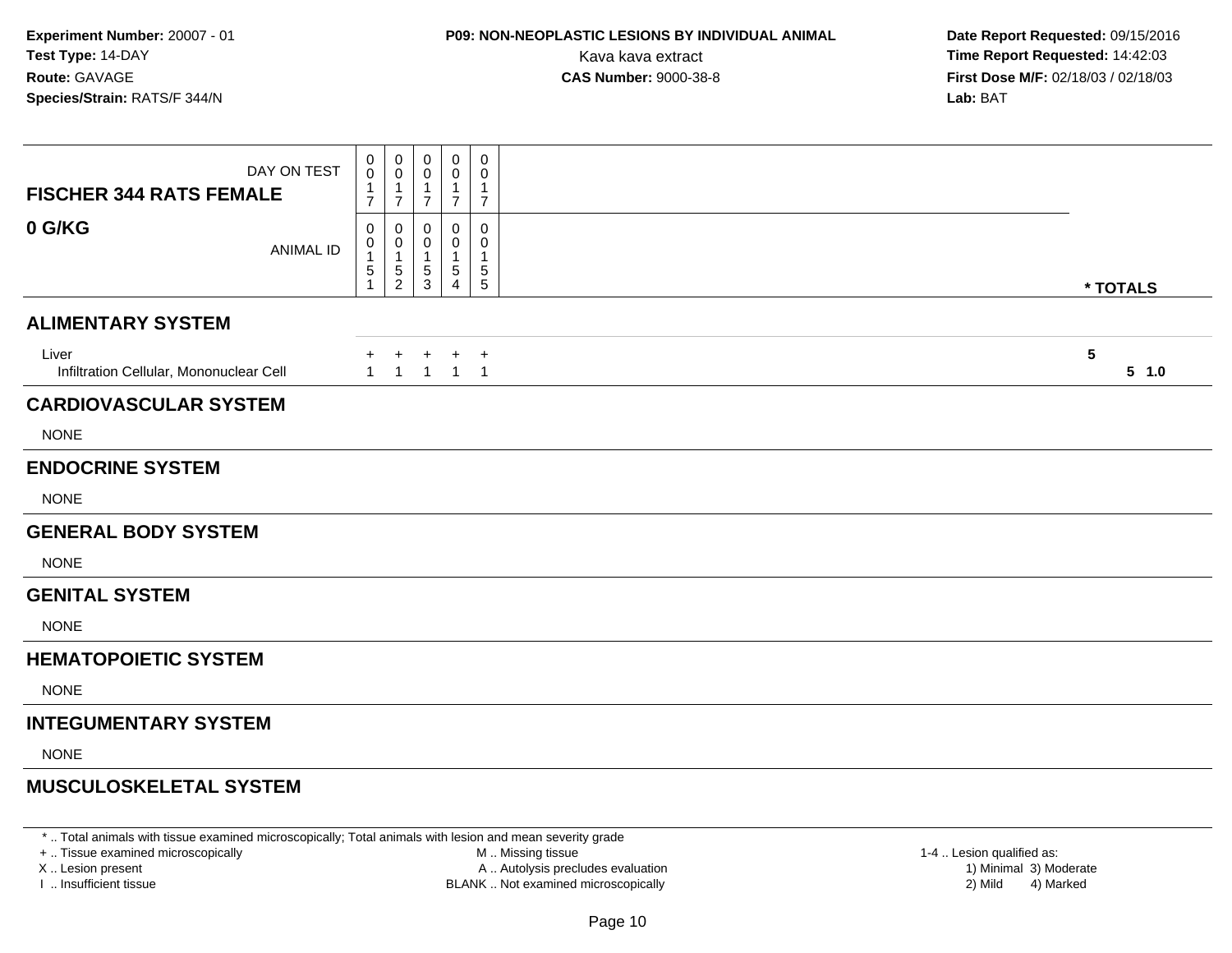# **P09: NON-NEOPLASTIC LESIONS BY INDIVIDUAL ANIMAL**

 **Date Report Requested:** 09/15/2016 Kava kava extract **Time Report Requested:** 14:42:03<br>**CAS Number:** 9000-38-8 **Time Report Requested:** 14:42:03 **First Dose M/F:** 02/18/03 / 02/18/03<br>**Lab:** BAT **Lab:** BAT

| DAY ON TEST<br><b>FISCHER 344 RATS FEMALE</b>    | 0<br>0<br>$\overline{7}$   | $\mathbf 0$<br>0<br>$\mathbf 1$<br>$\overline{7}$        | 0<br>$\overline{7}$    | 0<br>0<br>-1<br>$\overline{7}$ | 0<br>0<br>1<br>$\overline{7}$ |            |       |
|--------------------------------------------------|----------------------------|----------------------------------------------------------|------------------------|--------------------------------|-------------------------------|------------|-------|
| 0 G/KG<br><b>ANIMAL ID</b>                       | 0<br>0<br>1<br>$\,$ 5 $\,$ | 0<br>0<br>$\overline{1}$<br>$\sqrt{5}$<br>$\overline{2}$ | 0<br>0<br>-1<br>5<br>3 | 0<br>0<br>5<br>4               | 0<br>0<br>5<br>5              | * TOTALS   |       |
| <b>ALIMENTARY SYSTEM</b>                         |                            |                                                          |                        |                                |                               |            |       |
| Liver<br>Infiltration Cellular, Mononuclear Cell | $^+$<br>$\mathbf{1}$       | $+$<br>$\overline{1}$                                    | $+$<br>$\mathbf{1}$    | $+$ $+$<br>$1 \quad 1$         |                               | $\sqrt{5}$ | 5 1.0 |
| <b>CARDIOVASCULAR SYSTEM</b>                     |                            |                                                          |                        |                                |                               |            |       |
| <b>NONE</b>                                      |                            |                                                          |                        |                                |                               |            |       |
| <b>ENDOCRINE SYSTEM</b>                          |                            |                                                          |                        |                                |                               |            |       |
| <b>NONE</b>                                      |                            |                                                          |                        |                                |                               |            |       |
| <b>GENERAL BODY SYSTEM</b>                       |                            |                                                          |                        |                                |                               |            |       |
| <b>NONE</b>                                      |                            |                                                          |                        |                                |                               |            |       |
| <b>GENITAL SYSTEM</b>                            |                            |                                                          |                        |                                |                               |            |       |
| <b>NONE</b>                                      |                            |                                                          |                        |                                |                               |            |       |
| <b>HEMATOPOIETIC SYSTEM</b>                      |                            |                                                          |                        |                                |                               |            |       |
| <b>NONE</b>                                      |                            |                                                          |                        |                                |                               |            |       |
| <b>INTEGUMENTARY SYSTEM</b>                      |                            |                                                          |                        |                                |                               |            |       |
| <b>NONE</b>                                      |                            |                                                          |                        |                                |                               |            |       |
| <b>MUSCULOSKELETAL SYSTEM</b>                    |                            |                                                          |                        |                                |                               |            |       |

\* .. Total animals with tissue examined microscopically; Total animals with lesion and mean severity grade

+ .. Tissue examined microscopically

X .. Lesion present

I .. Insufficient tissue

 M .. Missing tissueA .. Autolysis precludes evaluation

BLANK .. Not examined microscopically 2) Mild 4) Marked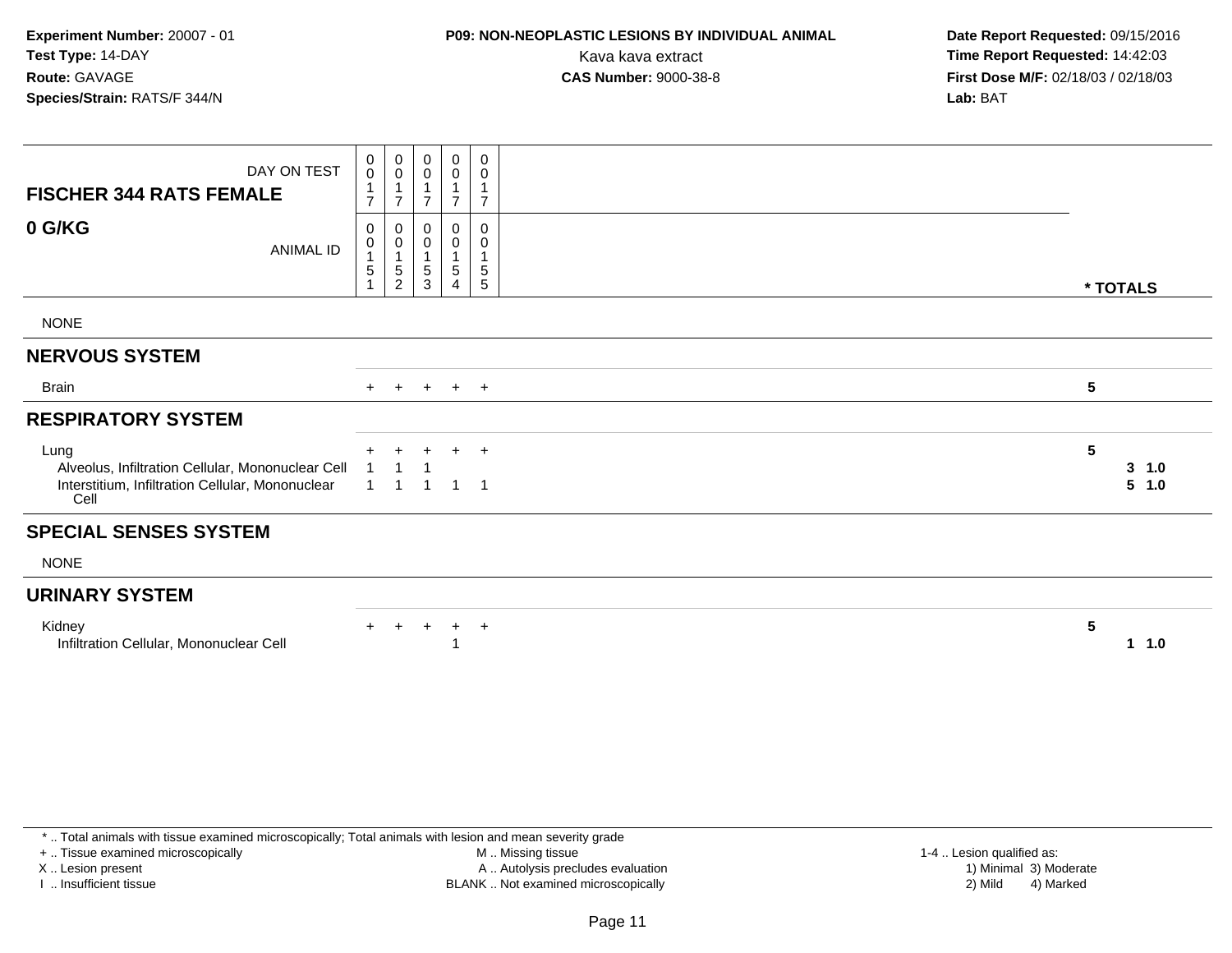# **P09: NON-NEOPLASTIC LESIONS BY INDIVIDUAL ANIMAL**

 **Date Report Requested:** 09/15/2016 Kava kava extract **Time Report Requested:** 14:42:03<br>**CAS Number:** 9000-38-8 **Time Report Requested:** 14:42:03 **First Dose M/F:** 02/18/03 / 02/18/03<br>**Lab:** BAT **Lab:** BAT

| DAY ON TEST<br><b>FISCHER 344 RATS FEMALE</b>                                                                         | 0<br>$\mathbf 0$<br>$\mathbf{1}$<br>$\overline{7}$        | 0<br>$\pmb{0}$<br>$\mathbf{1}$<br>$\overline{7}$   | 0<br>0                  | 0<br>$\pmb{0}$<br>$\overline{7}$       | 0<br>0<br>$\mathbf{1}$<br>$\overline{7}$        |                      |
|-----------------------------------------------------------------------------------------------------------------------|-----------------------------------------------------------|----------------------------------------------------|-------------------------|----------------------------------------|-------------------------------------------------|----------------------|
| 0 G/KG<br><b>ANIMAL ID</b>                                                                                            | $\pmb{0}$<br>$\pmb{0}$<br>$\mathbf{1}$<br>$5\phantom{.0}$ | 0<br>$\pmb{0}$<br>$\mathbf{1}$<br>$\,$ 5 $\,$<br>2 | 0<br>0<br>5<br>3        | 0<br>$\pmb{0}$<br>1<br>$\sqrt{5}$<br>4 | 0<br>$\pmb{0}$<br>1<br>$\sqrt{5}$<br>$\sqrt{5}$ | * TOTALS             |
| <b>NONE</b>                                                                                                           |                                                           |                                                    |                         |                                        |                                                 |                      |
| <b>NERVOUS SYSTEM</b>                                                                                                 |                                                           |                                                    |                         |                                        |                                                 |                      |
| <b>Brain</b>                                                                                                          | $+$                                                       | $+$                                                |                         | $+$ $+$ $+$                            |                                                 | 5                    |
| <b>RESPIRATORY SYSTEM</b>                                                                                             |                                                           |                                                    |                         |                                        |                                                 |                      |
| Lung<br>Alveolus, Infiltration Cellular, Mononuclear Cell<br>Interstitium, Infiltration Cellular, Mononuclear<br>Cell | $\overline{1}$                                            | $\ddot{}$<br>$\overline{1}$<br>$\overline{1}$      | $\pm$<br>$\overline{1}$ | $1 \quad 1$                            | $+$ $+$                                         | 5<br>3, 1.0<br>5 1.0 |
| <b>SPECIAL SENSES SYSTEM</b>                                                                                          |                                                           |                                                    |                         |                                        |                                                 |                      |
| <b>NONE</b>                                                                                                           |                                                           |                                                    |                         |                                        |                                                 |                      |
| <b>URINARY SYSTEM</b>                                                                                                 |                                                           |                                                    |                         |                                        |                                                 |                      |
| Kidney<br>Infiltration Cellular, Mononuclear Cell                                                                     | $+$                                                       | $+$                                                | $+$                     | $+$                                    | $+$                                             | 5<br>1.0             |

\* .. Total animals with tissue examined microscopically; Total animals with lesion and mean severity grade

+ .. Tissue examined microscopically

X .. Lesion present

I .. Insufficient tissue

 M .. Missing tissueA .. Autolysis precludes evaluation

BLANK .. Not examined microscopically 2) Mild 4) Marked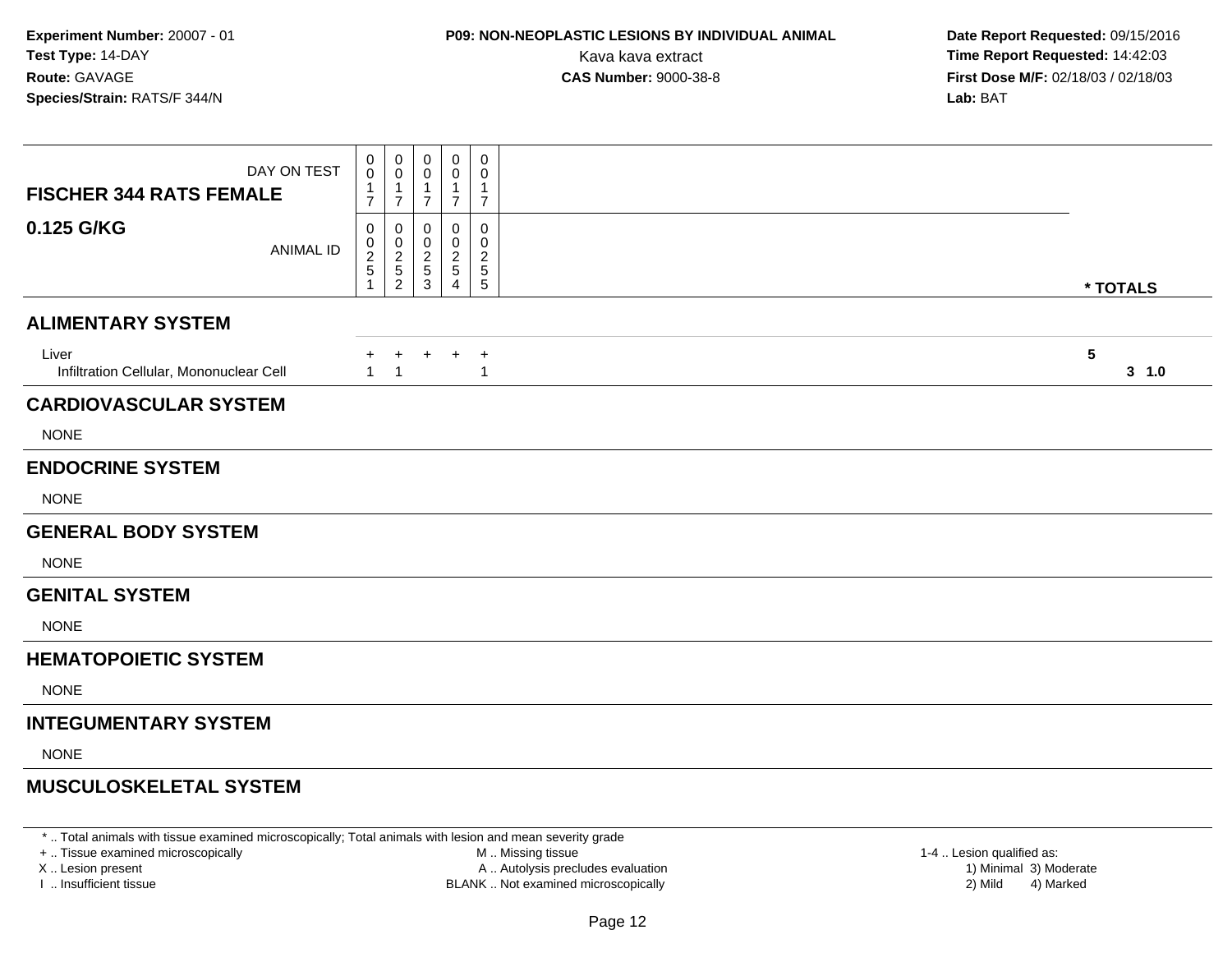## **P09: NON-NEOPLASTIC LESIONS BY INDIVIDUAL ANIMAL**

 **Date Report Requested:** 09/15/2016 Kava kava extract **Time Report Requested:** 14:42:03<br>**CAS Number:** 9000-38-8 **Time Report Requested:** 14:42:03 **First Dose M/F:** 02/18/03 / 02/18/03<br>**Lab:** BAT **Lab:** BAT

| DAY ON TEST<br><b>FISCHER 344 RATS FEMALE</b>    | 0<br>0<br>$\overline{7}$ | $\pmb{0}$<br>$\mathbf 0$<br>-1<br>$\overline{7}$    | 0<br>0<br>-1<br>$\overline{7}$     | 0<br>0<br>1<br>$\overline{7}$ | 0<br>0<br>1<br>$\overline{7}$               |                          |
|--------------------------------------------------|--------------------------|-----------------------------------------------------|------------------------------------|-------------------------------|---------------------------------------------|--------------------------|
| 0.125 G/KG<br><b>ANIMAL ID</b>                   | 0<br>0<br>$rac{2}{5}$    | 0<br>$\mathbf 0$<br>$\frac{2}{5}$<br>$\overline{2}$ | 0<br>0<br>$\overline{2}$<br>5<br>3 | 0<br>0<br>2<br>5<br>Δ         | 0<br>0<br>$\overline{c}$<br>$\sqrt{5}$<br>5 | * TOTALS                 |
| <b>ALIMENTARY SYSTEM</b>                         |                          |                                                     |                                    |                               |                                             |                          |
| Liver<br>Infiltration Cellular, Mononuclear Cell | $+$<br>$\mathbf{1}$      | $+$<br>$\overline{1}$                               | $+$                                |                               | $+$ $+$<br>$\overline{1}$                   | $5\phantom{.0}$<br>3 1.0 |
| <b>CARDIOVASCULAR SYSTEM</b>                     |                          |                                                     |                                    |                               |                                             |                          |
| <b>NONE</b>                                      |                          |                                                     |                                    |                               |                                             |                          |
| <b>ENDOCRINE SYSTEM</b>                          |                          |                                                     |                                    |                               |                                             |                          |
| <b>NONE</b>                                      |                          |                                                     |                                    |                               |                                             |                          |
| <b>GENERAL BODY SYSTEM</b>                       |                          |                                                     |                                    |                               |                                             |                          |
| <b>NONE</b>                                      |                          |                                                     |                                    |                               |                                             |                          |
| <b>GENITAL SYSTEM</b>                            |                          |                                                     |                                    |                               |                                             |                          |
| <b>NONE</b>                                      |                          |                                                     |                                    |                               |                                             |                          |
| <b>HEMATOPOIETIC SYSTEM</b>                      |                          |                                                     |                                    |                               |                                             |                          |
| <b>NONE</b>                                      |                          |                                                     |                                    |                               |                                             |                          |
| <b>INTEGUMENTARY SYSTEM</b>                      |                          |                                                     |                                    |                               |                                             |                          |
| <b>NONE</b>                                      |                          |                                                     |                                    |                               |                                             |                          |
| <b>MUSCULOSKELETAL SYSTEM</b>                    |                          |                                                     |                                    |                               |                                             |                          |

\* .. Total animals with tissue examined microscopically; Total animals with lesion and mean severity grade

+ .. Tissue examined microscopically

X .. Lesion present

I .. Insufficient tissue

 M .. Missing tissueA .. Autolysis precludes evaluation

 1-4 .. Lesion qualified as: BLANK .. Not examined microscopically 2) Mild 4) Marked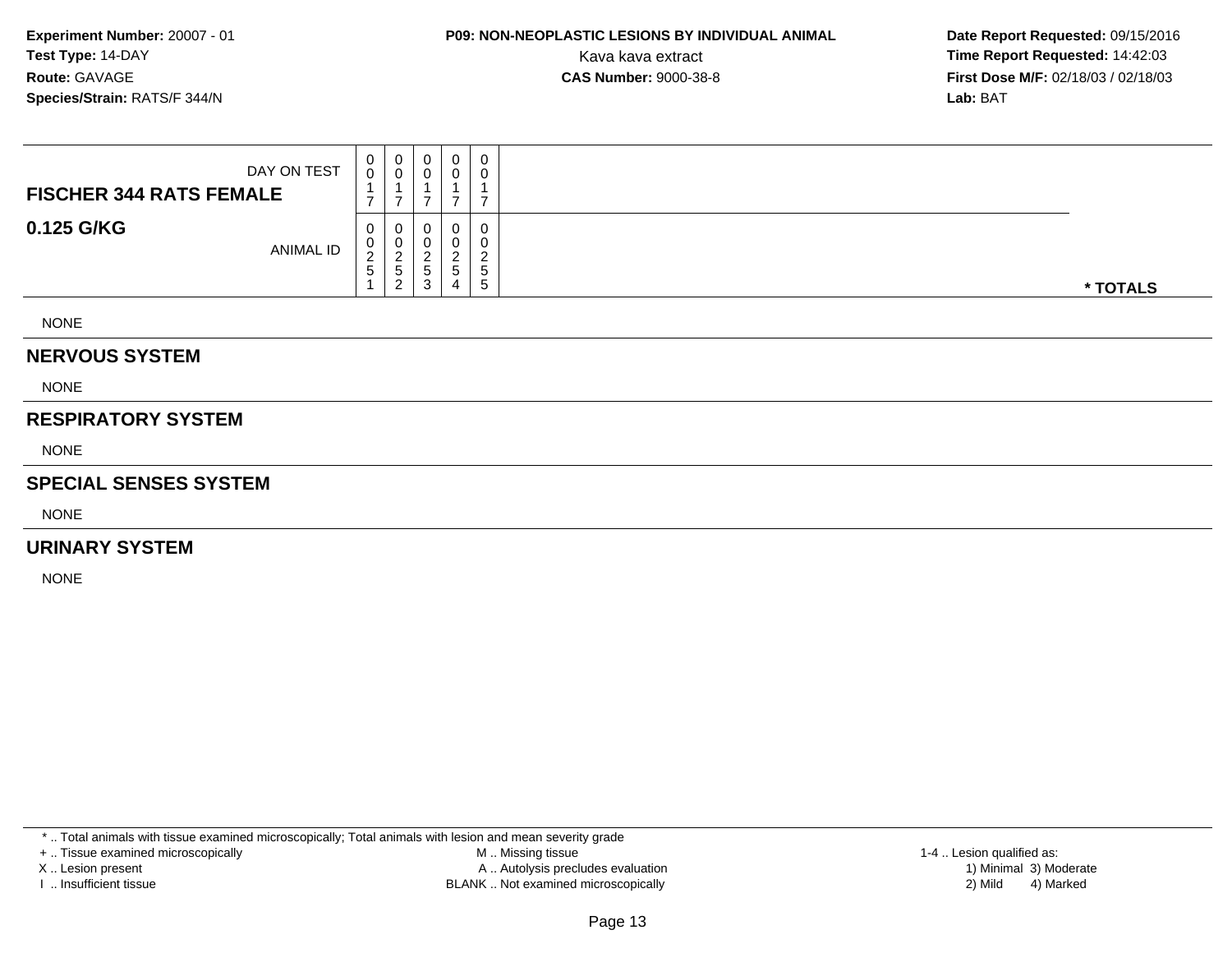# **P09: NON-NEOPLASTIC LESIONS BY INDIVIDUAL ANIMAL**

 **Date Report Requested:** 09/15/2016 Kava kava extract **Time Report Requested:** 14:42:03<br>**CAS Number:** 9000-38-8 **Time Report Requested:** 14:42:03 **First Dose M/F:** 02/18/03 / 02/18/03<br>**Lab:** BAT **Lab:** BAT

| DAY ON TEST<br><b>FISCHER 344 RATS FEMALE</b> | U           | 0<br>v                      | 0<br>υ      | 0            | 0<br>0                                                       |          |
|-----------------------------------------------|-------------|-----------------------------|-------------|--------------|--------------------------------------------------------------|----------|
| 0.125 G/KG<br>ANIMAL ID                       | U<br>∠<br>G | U<br>U<br>_<br>.5<br>⌒<br>▵ | 0<br>∽<br>ు | 0<br>່ວ<br>4 | 0<br>0<br>$\sim$<br><u>_</u><br><sub>5</sub><br><sub>5</sub> | * TOTALS |

NONE

#### **NERVOUS SYSTEM**

NONE

#### **RESPIRATORY SYSTEM**

NONE

#### **SPECIAL SENSES SYSTEM**

NONE

#### **URINARY SYSTEM**

NONE

\* .. Total animals with tissue examined microscopically; Total animals with lesion and mean severity grade

+ .. Tissue examined microscopically

X .. Lesion present

I .. Insufficient tissue

 M .. Missing tissueA .. Autolysis precludes evaluation

BLANK .. Not examined microscopically 2) Mild 4) Marked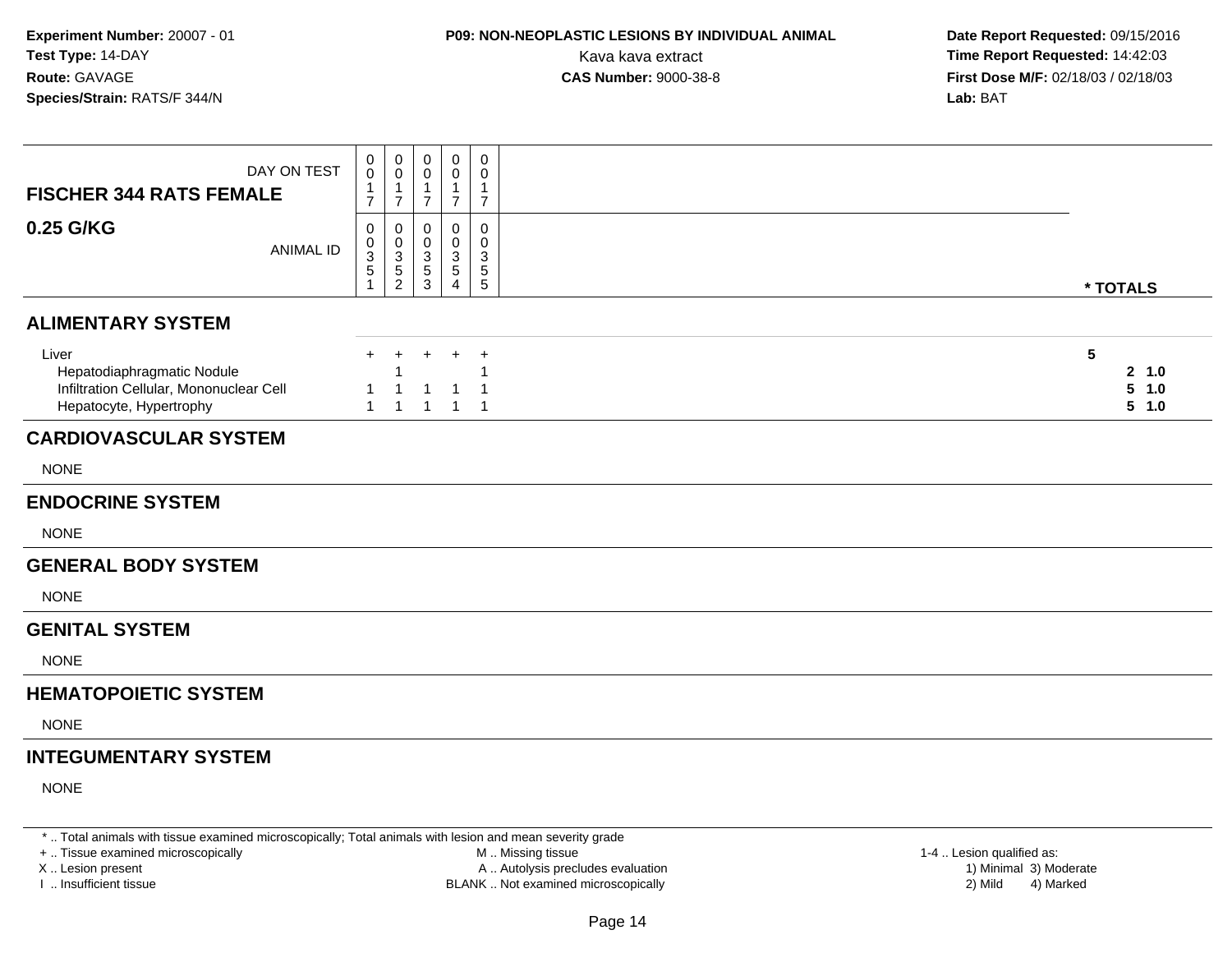### **P09: NON-NEOPLASTIC LESIONS BY INDIVIDUAL ANIMAL**

 **Date Report Requested:** 09/15/2016 Kava kava extract **Time Report Requested:** 14:42:03<br>**CAS Number:** 9000-38-8 **Time Report Requested:** 14:42:03 **First Dose M/F:** 02/18/03 / 02/18/03<br>**Lab:** BAT **Lab:** BAT

| DAY ON TEST<br><b>FISCHER 344 RATS FEMALE</b>                                                             | 0<br>$\overline{0}$<br>$\mathbf{1}$<br>$\overline{7}$ | $\mathbf 0$<br>$\mathbf 0$<br>$\mathbf{1}$<br>$\overline{7}$   | $\mathbf 0$<br>0<br>1<br>$\overline{7}$                                                 | $\mathbf 0$<br>0<br>$\overline{1}$<br>$\overline{7}$            | $\mathbf 0$<br>0<br>$\mathbf{1}$<br>$\overline{7}$          |                              |
|-----------------------------------------------------------------------------------------------------------|-------------------------------------------------------|----------------------------------------------------------------|-----------------------------------------------------------------------------------------|-----------------------------------------------------------------|-------------------------------------------------------------|------------------------------|
| 0.25 G/KG<br><b>ANIMAL ID</b>                                                                             | 0<br>$\begin{array}{c} 0 \\ 3 \\ 5 \end{array}$<br>1  | $\mathbf 0$<br>$\begin{array}{c} 0 \\ 3 \\ 5 \\ 2 \end{array}$ | $\mathbf{0}$<br>$\mathbf 0$<br>$\ensuremath{\mathsf{3}}$<br>$\,$ 5 $\,$<br>$\mathbf{3}$ | $\mathbf 0$<br>0<br>$\mathsf 3$<br>$\sqrt{5}$<br>$\overline{4}$ | $\mathbf 0$<br>$\mathbf 0$<br>3<br>$\sqrt{5}$<br>$\sqrt{5}$ | * TOTALS                     |
| <b>ALIMENTARY SYSTEM</b>                                                                                  |                                                       |                                                                |                                                                                         |                                                                 |                                                             |                              |
| Liver<br>Hepatodiaphragmatic Nodule<br>Infiltration Cellular, Mononuclear Cell<br>Hepatocyte, Hypertrophy | $\ddot{}$                                             | $\pm$                                                          |                                                                                         |                                                                 | $\overline{ }$                                              | 5<br>2 1.0<br>5 1.0<br>5 1.0 |
| <b>CARDIOVASCULAR SYSTEM</b>                                                                              |                                                       |                                                                |                                                                                         |                                                                 |                                                             |                              |
| <b>NONE</b>                                                                                               |                                                       |                                                                |                                                                                         |                                                                 |                                                             |                              |
| <b>ENDOCRINE SYSTEM</b>                                                                                   |                                                       |                                                                |                                                                                         |                                                                 |                                                             |                              |
| <b>NONE</b>                                                                                               |                                                       |                                                                |                                                                                         |                                                                 |                                                             |                              |
| <b>GENERAL BODY SYSTEM</b>                                                                                |                                                       |                                                                |                                                                                         |                                                                 |                                                             |                              |
| <b>NONE</b>                                                                                               |                                                       |                                                                |                                                                                         |                                                                 |                                                             |                              |
| <b>GENITAL SYSTEM</b>                                                                                     |                                                       |                                                                |                                                                                         |                                                                 |                                                             |                              |
| <b>NONE</b>                                                                                               |                                                       |                                                                |                                                                                         |                                                                 |                                                             |                              |
| <b>HEMATOPOIETIC SYSTEM</b>                                                                               |                                                       |                                                                |                                                                                         |                                                                 |                                                             |                              |
| <b>NONE</b>                                                                                               |                                                       |                                                                |                                                                                         |                                                                 |                                                             |                              |
| <b>INTEGUMENTARY SYSTEM</b>                                                                               |                                                       |                                                                |                                                                                         |                                                                 |                                                             |                              |
| <b>NONE</b>                                                                                               |                                                       |                                                                |                                                                                         |                                                                 |                                                             |                              |

\* .. Total animals with tissue examined microscopically; Total animals with lesion and mean severity grade

+ .. Tissue examined microscopically

X .. Lesion present

I .. Insufficient tissue

 M .. Missing tissueA .. Autolysis precludes evaluation

BLANK .. Not examined microscopically 2) Mild 4) Marked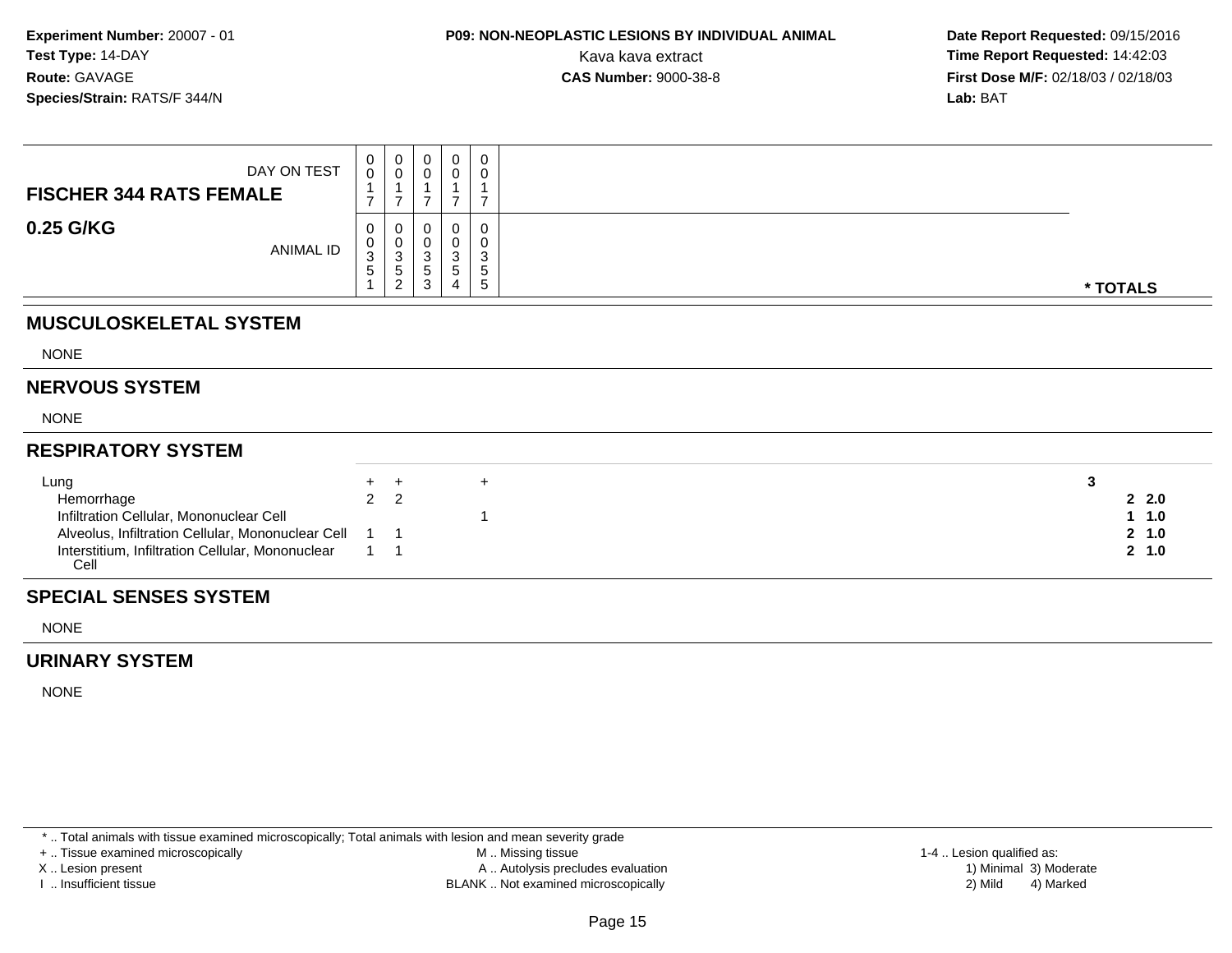## **P09: NON-NEOPLASTIC LESIONS BY INDIVIDUAL ANIMAL**

 **Date Report Requested:** 09/15/2016 Kava kava extract **Time Report Requested:** 14:42:03<br>**CAS Number:** 9000-38-8 **Time Report Requested:** 14:42:03 **First Dose M/F:** 02/18/03 / 02/18/03<br>**Lab:** BAT **Lab:** BAT

| DAY ON TEST<br><b>FISCHER 344 RATS FEMALE</b>                                                | $\begin{smallmatrix}0\0\0\end{smallmatrix}$<br>$\overline{7}$ | $\mathbf 0$<br>$\mathbf 0$<br>$\overline{ }$ | 0<br>$\pmb{0}$<br>$\overline{ }$ | $\pmb{0}$<br>$\pmb{0}$<br>$\overline{A}$<br>$\overline{7}$ | 0<br>0<br>$\overline{ }$                  |                |
|----------------------------------------------------------------------------------------------|---------------------------------------------------------------|----------------------------------------------|----------------------------------|------------------------------------------------------------|-------------------------------------------|----------------|
| 0.25 G/KG<br>ANIMAL ID                                                                       | 0<br>$_{3}^{\rm 0}$<br>5                                      | $\pmb{0}$<br>3<br>5<br>$\overline{2}$        | 0<br>$\pmb{0}$<br>3<br>5<br>3    | 0<br>$\ensuremath{\mathsf{3}}$<br>$\,$ 5 $\,$<br>4         | 0<br>0<br>$\mathbf{3}$<br>$\sqrt{5}$<br>5 | * TOTALS       |
| <b>MUSCULOSKELETAL SYSTEM</b>                                                                |                                                               |                                              |                                  |                                                            |                                           |                |
| <b>NONE</b>                                                                                  |                                                               |                                              |                                  |                                                            |                                           |                |
| <b>NERVOUS SYSTEM</b>                                                                        |                                                               |                                              |                                  |                                                            |                                           |                |
| <b>NONE</b>                                                                                  |                                                               |                                              |                                  |                                                            |                                           |                |
| <b>RESPIRATORY SYSTEM</b>                                                                    |                                                               |                                              |                                  |                                                            |                                           |                |
| Lung                                                                                         | $\ddot{}$                                                     | $+$                                          |                                  |                                                            | $+$                                       | 3              |
| Hemorrhage                                                                                   | $\overline{2}$                                                | 2                                            |                                  |                                                            |                                           | 2.2.0          |
| Infiltration Cellular, Mononuclear Cell<br>Alveolus, Infiltration Cellular, Mononuclear Cell |                                                               | $\overline{\phantom{0}}$ 1                   |                                  |                                                            |                                           | 1 1.0<br>2 1.0 |
| Interstitium, Infiltration Cellular, Mononuclear<br>Cell                                     |                                                               | $1 \quad 1$                                  |                                  |                                                            |                                           | 2, 1.0         |

#### **SPECIAL SENSES SYSTEM**

NONE

#### **URINARY SYSTEM**

NONE

\* .. Total animals with tissue examined microscopically; Total animals with lesion and mean severity grade

+ .. Tissue examined microscopically

X .. Lesion present

I .. Insufficient tissue

 M .. Missing tissueA .. Autolysis precludes evaluation

BLANK .. Not examined microscopically 2) Mild 4) Marked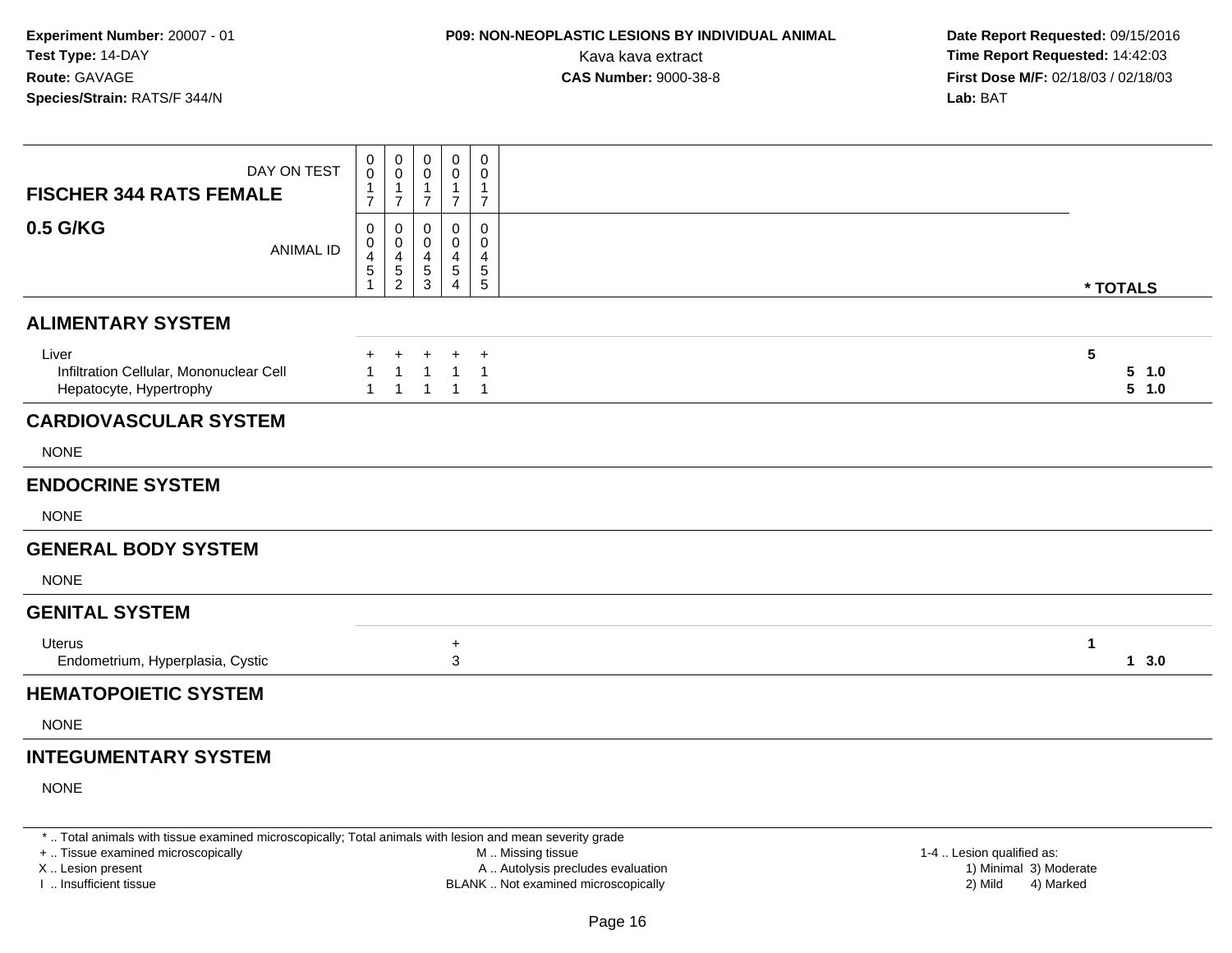### **P09: NON-NEOPLASTIC LESIONS BY INDIVIDUAL ANIMAL**

 **Date Report Requested:** 09/15/2016 Kava kava extract **Time Report Requested:** 14:42:03<br>**CAS Number:** 9000-38-8 **Time Report Requested:** 14:42:03 **First Dose M/F:** 02/18/03 / 02/18/03<br>**Lab:** BAT **Lab:** BAT

| DAY ON TEST<br><b>FISCHER 344 RATS FEMALE</b>                               | 0<br>0<br>1<br>$\overline{7}$               | 0<br>0<br>$\mathbf{1}$<br>$\overline{7}$            | 0<br>0<br>$\mathbf{1}$<br>$\overline{7}$                          | $\mathbf 0$<br>0<br>$\mathbf{1}$<br>$\overline{7}$ | $\mathbf 0$<br>0<br>$\mathbf{1}$<br>$\overline{7}$    |                                   |
|-----------------------------------------------------------------------------|---------------------------------------------|-----------------------------------------------------|-------------------------------------------------------------------|----------------------------------------------------|-------------------------------------------------------|-----------------------------------|
| 0.5 G/KG<br><b>ANIMAL ID</b>                                                | 0<br>0<br>$\overline{\mathbf{4}}$<br>5<br>1 | 0<br>$\mathbf 0$<br>$\overline{4}$<br>$\frac{5}{2}$ | $\mathbf 0$<br>$\mathbf 0$<br>$\overline{4}$<br>5<br>$\mathbf{3}$ | 0<br>0<br>4<br>$\sqrt{5}$<br>4                     | 0<br>0<br>$\overline{a}$<br>$\,$ 5 $\,$<br>$\sqrt{5}$ | * TOTALS                          |
| <b>ALIMENTARY SYSTEM</b>                                                    |                                             |                                                     |                                                                   |                                                    |                                                       |                                   |
| Liver<br>Infiltration Cellular, Mononuclear Cell<br>Hepatocyte, Hypertrophy | $\mathbf{1}$                                | $\overline{1}$                                      | $\ddot{}$<br>$\overline{1}$<br>$\mathbf{1}$                       | $\mathbf 1$<br>$\mathbf{1}$                        | $\overline{1}$<br>$\overline{1}$<br>$\overline{1}$    | $5\phantom{.0}$<br>5 1.0<br>5 1.0 |
| <b>CARDIOVASCULAR SYSTEM</b>                                                |                                             |                                                     |                                                                   |                                                    |                                                       |                                   |
| <b>NONE</b>                                                                 |                                             |                                                     |                                                                   |                                                    |                                                       |                                   |
| <b>ENDOCRINE SYSTEM</b>                                                     |                                             |                                                     |                                                                   |                                                    |                                                       |                                   |
| <b>NONE</b>                                                                 |                                             |                                                     |                                                                   |                                                    |                                                       |                                   |
| <b>GENERAL BODY SYSTEM</b>                                                  |                                             |                                                     |                                                                   |                                                    |                                                       |                                   |
| <b>NONE</b>                                                                 |                                             |                                                     |                                                                   |                                                    |                                                       |                                   |
| <b>GENITAL SYSTEM</b>                                                       |                                             |                                                     |                                                                   |                                                    |                                                       |                                   |
| Uterus<br>Endometrium, Hyperplasia, Cystic                                  |                                             |                                                     |                                                                   | $\ddot{}$<br>3                                     |                                                       | 1<br>13.0                         |
| <b>HEMATOPOIETIC SYSTEM</b>                                                 |                                             |                                                     |                                                                   |                                                    |                                                       |                                   |
| <b>NONE</b>                                                                 |                                             |                                                     |                                                                   |                                                    |                                                       |                                   |
| <b>INTEGUMENTARY SYSTEM</b>                                                 |                                             |                                                     |                                                                   |                                                    |                                                       |                                   |
| <b>NONE</b>                                                                 |                                             |                                                     |                                                                   |                                                    |                                                       |                                   |

\* .. Total animals with tissue examined microscopically; Total animals with lesion and mean severity grade

+ .. Tissue examined microscopically

X .. Lesion present

I .. Insufficient tissue

 M .. Missing tissueA .. Autolysis precludes evaluation

BLANK .. Not examined microscopically 2) Mild 4) Marked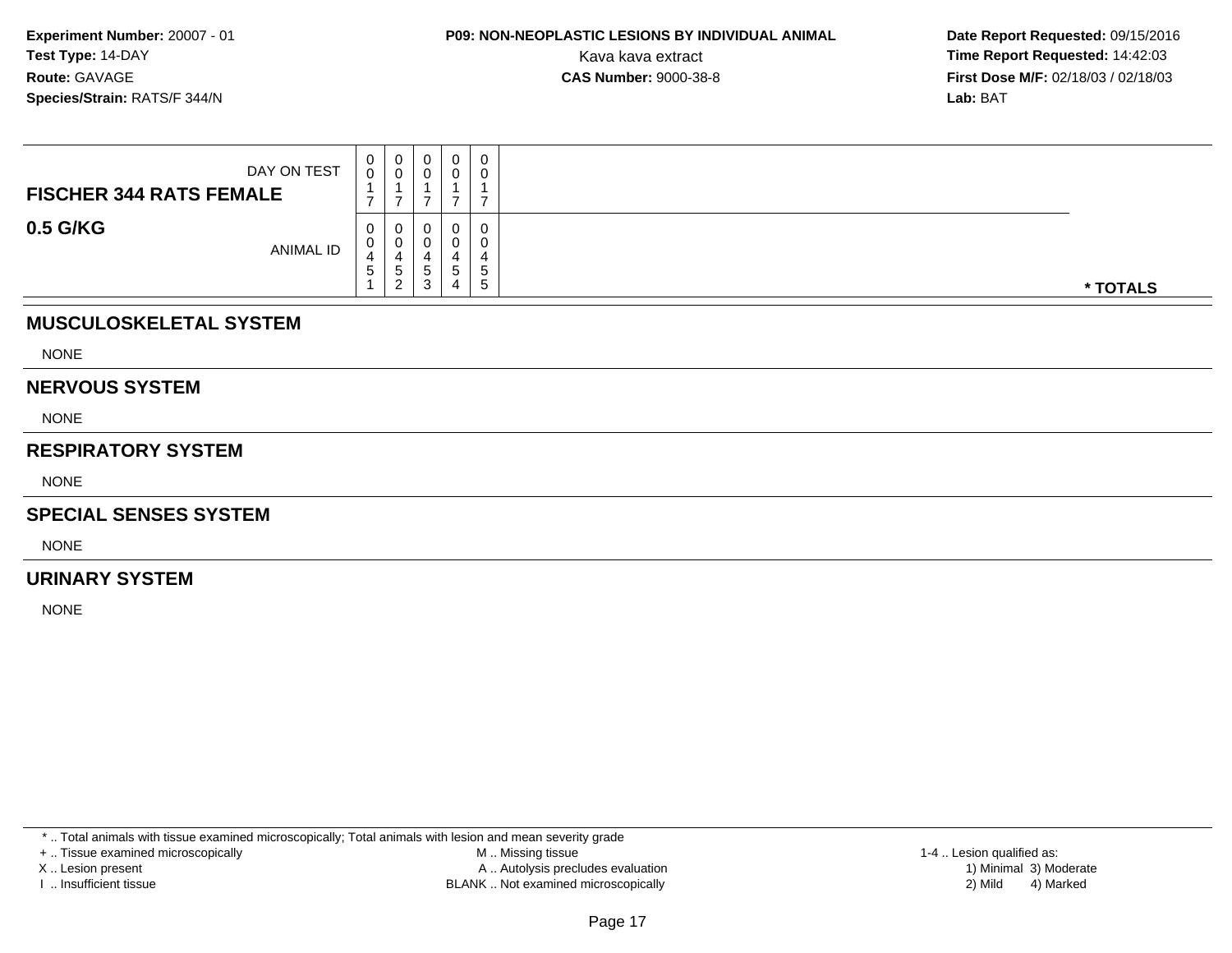**Date Report Requested:** 09/15/2016 Kava kava extract **Time Report Requested:** 14:42:03<br>**CAS Number:** 9000-38-8 **Time Report Requested:** 14:42:03 **First Dose M/F:** 02/18/03 / 02/18/03<br>**Lab:** BAT **Lab:** BAT

| DAY ON TEST<br><b>FISCHER 344 RATS FEMALE</b> | $\mathbf 0$<br>0            | $\begin{smallmatrix}0\\0\end{smallmatrix}$ | 0      | $\mathbf 0$ | 0<br>0           |          |
|-----------------------------------------------|-----------------------------|--------------------------------------------|--------|-------------|------------------|----------|
|                                               |                             |                                            |        |             |                  |          |
| 0.5 G/KG<br>ANIMAL ID                         | $\mathbf{0}$<br>0<br>4<br>5 | 0<br>$\mathbf 0$<br>4<br>$\frac{5}{2}$     | 5<br>3 | 5<br>4      | 0<br>0<br>5<br>5 | * TOTALS |
| <b>MUSCULOSKELETAL SYSTEM</b>                 |                             |                                            |        |             |                  |          |
| <b>NONE</b>                                   |                             |                                            |        |             |                  |          |
| <b>NERVOUS SYSTEM</b>                         |                             |                                            |        |             |                  |          |

NONE

#### **RESPIRATORY SYSTEM**

NONE

#### **SPECIAL SENSES SYSTEM**

NONE

#### **URINARY SYSTEM**

NONE

\* .. Total animals with tissue examined microscopically; Total animals with lesion and mean severity grade

+ .. Tissue examined microscopically

X .. Lesion present

I .. Insufficient tissue

 M .. Missing tissueA .. Autolysis precludes evaluation

BLANK .. Not examined microscopically 2) Mild 4) Marked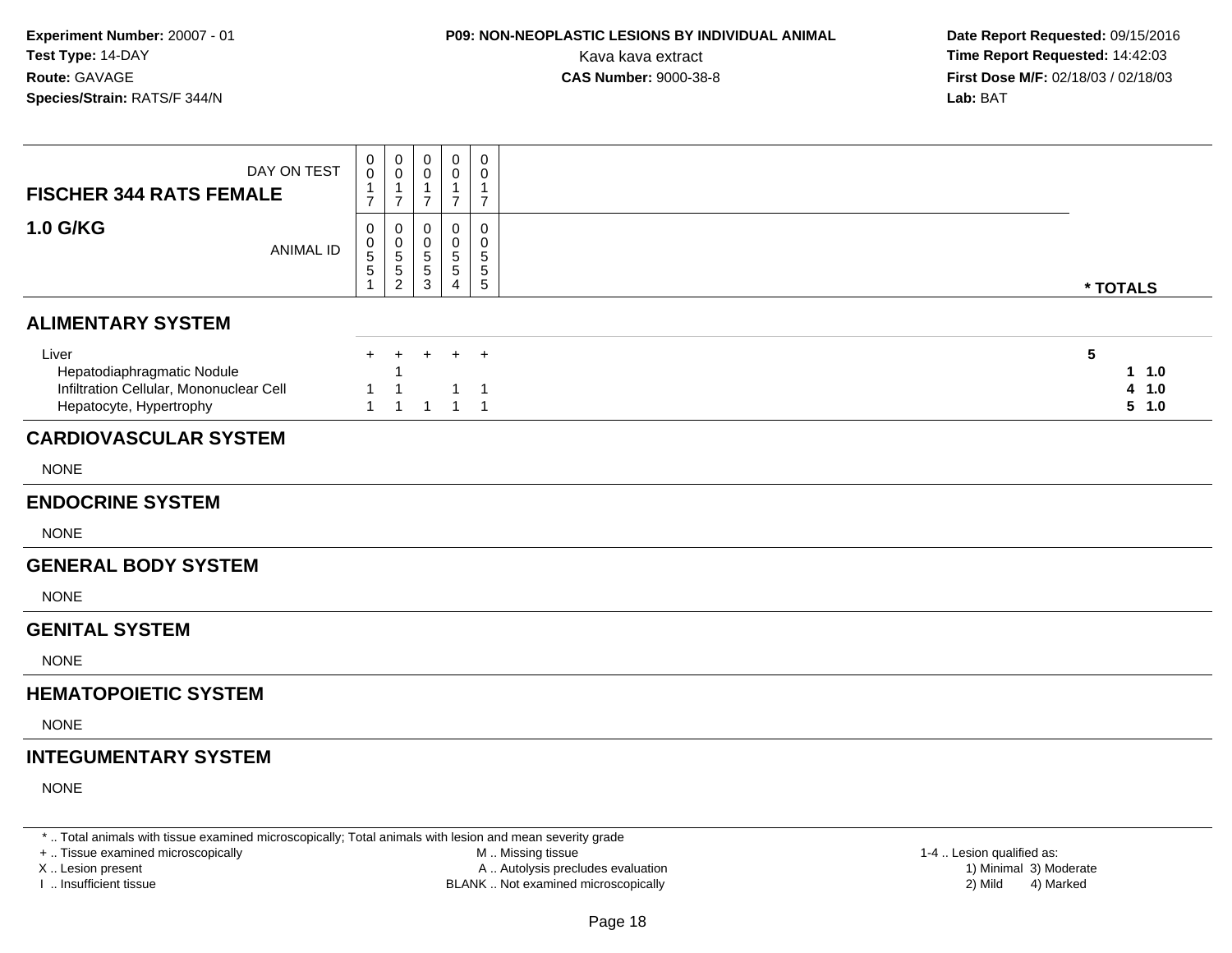### **P09: NON-NEOPLASTIC LESIONS BY INDIVIDUAL ANIMAL**

 **Date Report Requested:** 09/15/2016 Kava kava extract **Time Report Requested:** 14:42:03<br>**CAS Number:** 9000-38-8 **Time Report Requested:** 14:42:03 **First Dose M/F:** 02/18/03 / 02/18/03<br>**Lab:** BAT **Lab:** BAT

| DAY ON TEST<br><b>FISCHER 344 RATS FEMALE</b>                                                             | 0<br>$\mathbf 0$<br>1<br>$\overline{7}$                      | $\mathbf 0$<br>0<br>$\mathbf{1}$<br>$\overline{7}$                         | 0<br>$\mathbf 0$<br>$\mathbf 1$<br>$\overline{7}$                 | 0<br>0<br>$\mathbf 1$<br>$\overline{7}$   | $\mathbf 0$<br>0<br>$\overline{1}$<br>$\overline{7}$             |                                |
|-----------------------------------------------------------------------------------------------------------|--------------------------------------------------------------|----------------------------------------------------------------------------|-------------------------------------------------------------------|-------------------------------------------|------------------------------------------------------------------|--------------------------------|
| <b>1.0 G/KG</b><br><b>ANIMAL ID</b>                                                                       | 0<br>$\begin{array}{c} 0 \\ 5 \end{array}$<br>$\overline{5}$ | 0<br>$\begin{array}{c} 0 \\ 5 \end{array}$<br>$\sqrt{5}$<br>$\overline{2}$ | $\mathbf 0$<br>$\pmb{0}$<br>$\sqrt{5}$<br>$5\,$<br>$\mathfrak{S}$ | $\Omega$<br>0<br>5<br>5<br>$\overline{4}$ | $\pmb{0}$<br>$\pmb{0}$<br>$\sqrt{5}$<br>$\sqrt{5}$<br>$\sqrt{5}$ | * TOTALS                       |
| <b>ALIMENTARY SYSTEM</b>                                                                                  |                                                              |                                                                            |                                                                   |                                           |                                                                  |                                |
| Liver<br>Hepatodiaphragmatic Nodule<br>Infiltration Cellular, Mononuclear Cell<br>Hepatocyte, Hypertrophy | $+$<br>1<br>$\mathbf{1}$                                     | $\ddot{}$<br>1<br>$\mathbf{1}$                                             | $+$<br>$\overline{1}$                                             | $+$<br>$\mathbf{1}$<br>$\mathbf{1}$       | $+$<br>$\overline{1}$<br>$\overline{\phantom{0}}$ 1              | 5<br>11.0<br>1.0<br>4<br>5 1.0 |
| <b>CARDIOVASCULAR SYSTEM</b>                                                                              |                                                              |                                                                            |                                                                   |                                           |                                                                  |                                |
| <b>NONE</b>                                                                                               |                                                              |                                                                            |                                                                   |                                           |                                                                  |                                |
| <b>ENDOCRINE SYSTEM</b>                                                                                   |                                                              |                                                                            |                                                                   |                                           |                                                                  |                                |
| <b>NONE</b>                                                                                               |                                                              |                                                                            |                                                                   |                                           |                                                                  |                                |
| <b>GENERAL BODY SYSTEM</b>                                                                                |                                                              |                                                                            |                                                                   |                                           |                                                                  |                                |
| <b>NONE</b>                                                                                               |                                                              |                                                                            |                                                                   |                                           |                                                                  |                                |
| <b>GENITAL SYSTEM</b>                                                                                     |                                                              |                                                                            |                                                                   |                                           |                                                                  |                                |
| <b>NONE</b>                                                                                               |                                                              |                                                                            |                                                                   |                                           |                                                                  |                                |
| <b>HEMATOPOIETIC SYSTEM</b>                                                                               |                                                              |                                                                            |                                                                   |                                           |                                                                  |                                |
| <b>NONE</b>                                                                                               |                                                              |                                                                            |                                                                   |                                           |                                                                  |                                |
| <b>INTEGUMENTARY SYSTEM</b>                                                                               |                                                              |                                                                            |                                                                   |                                           |                                                                  |                                |
| <b>NONE</b>                                                                                               |                                                              |                                                                            |                                                                   |                                           |                                                                  |                                |

\* .. Total animals with tissue examined microscopically; Total animals with lesion and mean severity grade

+ .. Tissue examined microscopically

X .. Lesion present

I .. Insufficient tissue

 M .. Missing tissueA .. Autolysis precludes evaluation

BLANK .. Not examined microscopically 2) Mild 4) Marked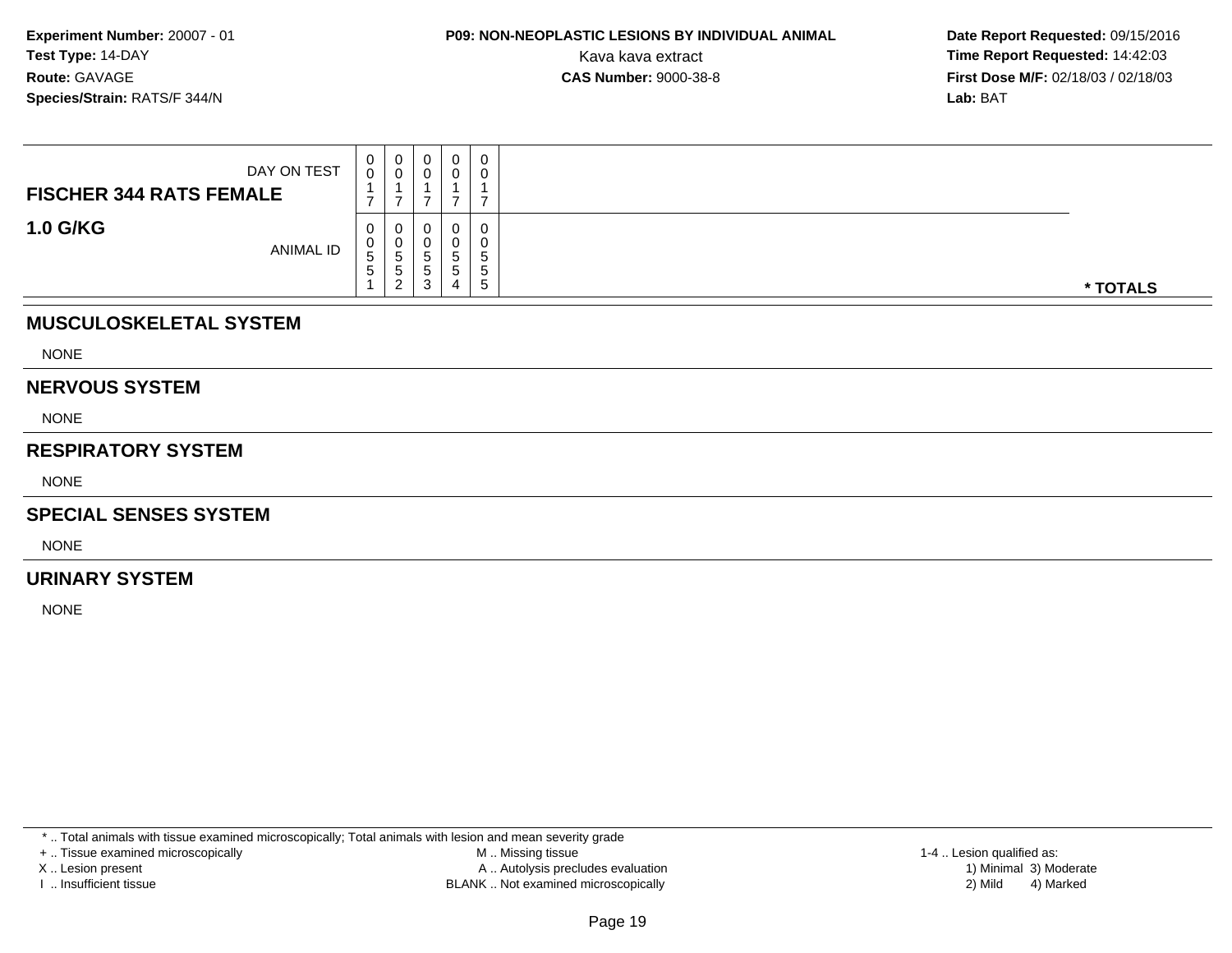**Date Report Requested:** 09/15/2016 Kava kava extract **Time Report Requested:** 14:42:03<br>**CAS Number:** 9000-38-8 **Time Report Requested:** 14:42:03 **First Dose M/F:** 02/18/03 / 02/18/03<br>**Lab:** BAT **Lab:** BAT

| DAY ON TEST<br><b>FISCHER 344 RATS FEMALE</b> | 0<br>0            | $\overline{0}$<br>$\mathbf 0$       | 0                               | 0                              | 0<br>$\overline{0}$              |          |
|-----------------------------------------------|-------------------|-------------------------------------|---------------------------------|--------------------------------|----------------------------------|----------|
| <b>1.0 G/KG</b><br>ANIMAL ID                  | U<br>U.<br>5<br>5 | U<br>U<br>'5<br>5<br>$\overline{2}$ | υ<br>U<br>5<br>$\,$ 5 $\,$<br>3 | Ü<br>0<br>5<br>$\sqrt{5}$<br>4 | 0<br>0<br>$\mathbf{p}$<br>5<br>5 | * TOTALS |
| <b>MUSCULOSKELETAL SYSTEM</b>                 |                   |                                     |                                 |                                |                                  |          |
| <b>NONE</b>                                   |                   |                                     |                                 |                                |                                  |          |
| <b>NERVOUS SYSTEM</b>                         |                   |                                     |                                 |                                |                                  |          |
| <b>NONE</b>                                   |                   |                                     |                                 |                                |                                  |          |

#### **RESPIRATORY SYSTEM**

NONE

#### **SPECIAL SENSES SYSTEM**

NONE

#### **URINARY SYSTEM**

NONE

\* .. Total animals with tissue examined microscopically; Total animals with lesion and mean severity grade

+ .. Tissue examined microscopically

X .. Lesion present

I .. Insufficient tissue

 M .. Missing tissueA .. Autolysis precludes evaluation

BLANK .. Not examined microscopically 2) Mild 4) Marked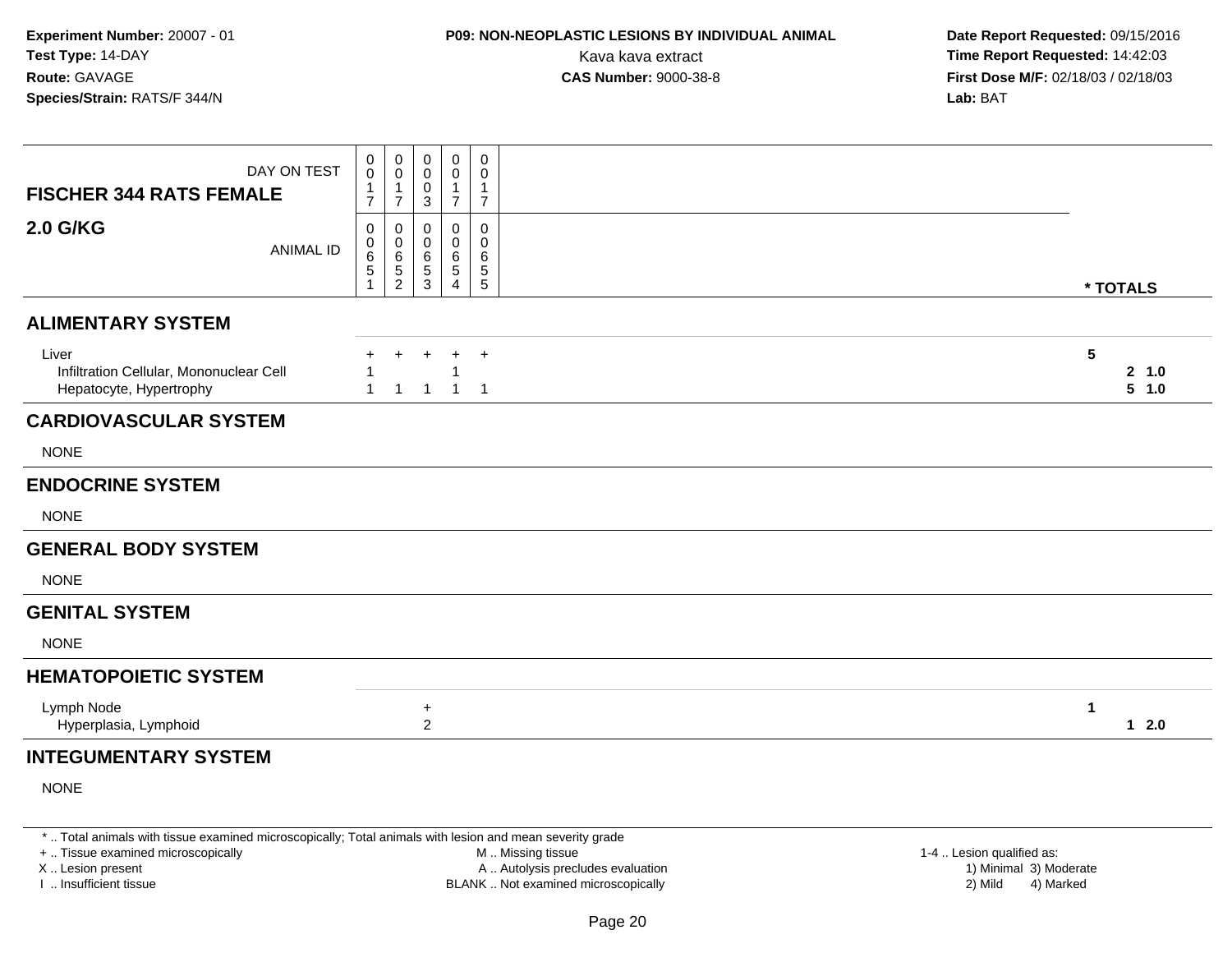### **P09: NON-NEOPLASTIC LESIONS BY INDIVIDUAL ANIMAL**

 **Date Report Requested:** 09/15/2016 Kava kava extract **Time Report Requested:** 14:42:03<br>**CAS Number:** 9000-38-8 **Time Report Requested:** 14:42:03 **First Dose M/F:** 02/18/03 / 02/18/03<br>**Lab:** BAT **Lab:** BAT

| 0<br>0<br>$\mathbf 0$<br>0<br>0<br>DAY ON TEST<br>$\mathbf 0$<br>$\mathbf 0$<br>$\mathbf 0$<br>0<br>0<br>1<br>1<br>0<br>-1<br>1<br><b>FISCHER 344 RATS FEMALE</b><br>$\overline{7}$<br>$\overline{7}$<br>$\overline{7}$<br>$\overline{7}$<br>3<br><b>2.0 G/KG</b><br>0<br>$\mathbf 0$<br>$\mathbf 0$<br>0<br>0<br>0<br>0<br>0<br>0<br>0<br><b>ANIMAL ID</b><br>6<br>$\,6$<br>6<br>6<br>6<br>5<br>$\sqrt{5}$<br>$\sqrt{5}$<br>$\sqrt{5}$<br>5<br>$\overline{2}$<br>5<br>3<br>1<br>$\overline{4}$<br>* TOTALS<br><b>ALIMENTARY SYSTEM</b><br>5<br>Liver<br>$\ddot{}$<br>Infiltration Cellular, Mononuclear Cell<br>Hepatocyte, Hypertrophy<br>$\overline{1}$<br>$\mathbf 1$<br>$\mathbf{1}$<br>-1<br><b>CARDIOVASCULAR SYSTEM</b><br><b>NONE</b><br><b>ENDOCRINE SYSTEM</b><br><b>NONE</b><br><b>GENERAL BODY SYSTEM</b><br><b>NONE</b><br><b>GENITAL SYSTEM</b><br><b>NONE</b><br><b>HEMATOPOIETIC SYSTEM</b><br>Lymph Node<br>1<br>$\ddot{}$<br>$\overline{2}$<br>Hyperplasia, Lymphoid<br><b>INTEGUMENTARY SYSTEM</b> |  |  |  |                |
|------------------------------------------------------------------------------------------------------------------------------------------------------------------------------------------------------------------------------------------------------------------------------------------------------------------------------------------------------------------------------------------------------------------------------------------------------------------------------------------------------------------------------------------------------------------------------------------------------------------------------------------------------------------------------------------------------------------------------------------------------------------------------------------------------------------------------------------------------------------------------------------------------------------------------------------------------------------------------------------------------------------------|--|--|--|----------------|
|                                                                                                                                                                                                                                                                                                                                                                                                                                                                                                                                                                                                                                                                                                                                                                                                                                                                                                                                                                                                                        |  |  |  |                |
|                                                                                                                                                                                                                                                                                                                                                                                                                                                                                                                                                                                                                                                                                                                                                                                                                                                                                                                                                                                                                        |  |  |  |                |
|                                                                                                                                                                                                                                                                                                                                                                                                                                                                                                                                                                                                                                                                                                                                                                                                                                                                                                                                                                                                                        |  |  |  |                |
|                                                                                                                                                                                                                                                                                                                                                                                                                                                                                                                                                                                                                                                                                                                                                                                                                                                                                                                                                                                                                        |  |  |  | 2 1.0<br>5 1.0 |
|                                                                                                                                                                                                                                                                                                                                                                                                                                                                                                                                                                                                                                                                                                                                                                                                                                                                                                                                                                                                                        |  |  |  |                |
|                                                                                                                                                                                                                                                                                                                                                                                                                                                                                                                                                                                                                                                                                                                                                                                                                                                                                                                                                                                                                        |  |  |  |                |
|                                                                                                                                                                                                                                                                                                                                                                                                                                                                                                                                                                                                                                                                                                                                                                                                                                                                                                                                                                                                                        |  |  |  |                |
|                                                                                                                                                                                                                                                                                                                                                                                                                                                                                                                                                                                                                                                                                                                                                                                                                                                                                                                                                                                                                        |  |  |  |                |
|                                                                                                                                                                                                                                                                                                                                                                                                                                                                                                                                                                                                                                                                                                                                                                                                                                                                                                                                                                                                                        |  |  |  |                |
|                                                                                                                                                                                                                                                                                                                                                                                                                                                                                                                                                                                                                                                                                                                                                                                                                                                                                                                                                                                                                        |  |  |  |                |
|                                                                                                                                                                                                                                                                                                                                                                                                                                                                                                                                                                                                                                                                                                                                                                                                                                                                                                                                                                                                                        |  |  |  |                |
|                                                                                                                                                                                                                                                                                                                                                                                                                                                                                                                                                                                                                                                                                                                                                                                                                                                                                                                                                                                                                        |  |  |  |                |
|                                                                                                                                                                                                                                                                                                                                                                                                                                                                                                                                                                                                                                                                                                                                                                                                                                                                                                                                                                                                                        |  |  |  |                |
|                                                                                                                                                                                                                                                                                                                                                                                                                                                                                                                                                                                                                                                                                                                                                                                                                                                                                                                                                                                                                        |  |  |  | $1 \quad 2.0$  |
|                                                                                                                                                                                                                                                                                                                                                                                                                                                                                                                                                                                                                                                                                                                                                                                                                                                                                                                                                                                                                        |  |  |  |                |

NONE

\* .. Total animals with tissue examined microscopically; Total animals with lesion and mean severity grade

+ .. Tissue examined microscopically

X .. Lesion present

I .. Insufficient tissue

 M .. Missing tissueA .. Autolysis precludes evaluation

1-4 .. Lesion qualified as:<br>1) Minimal 3) Moderate BLANK .. Not examined microscopically 2) Mild 4) Marked